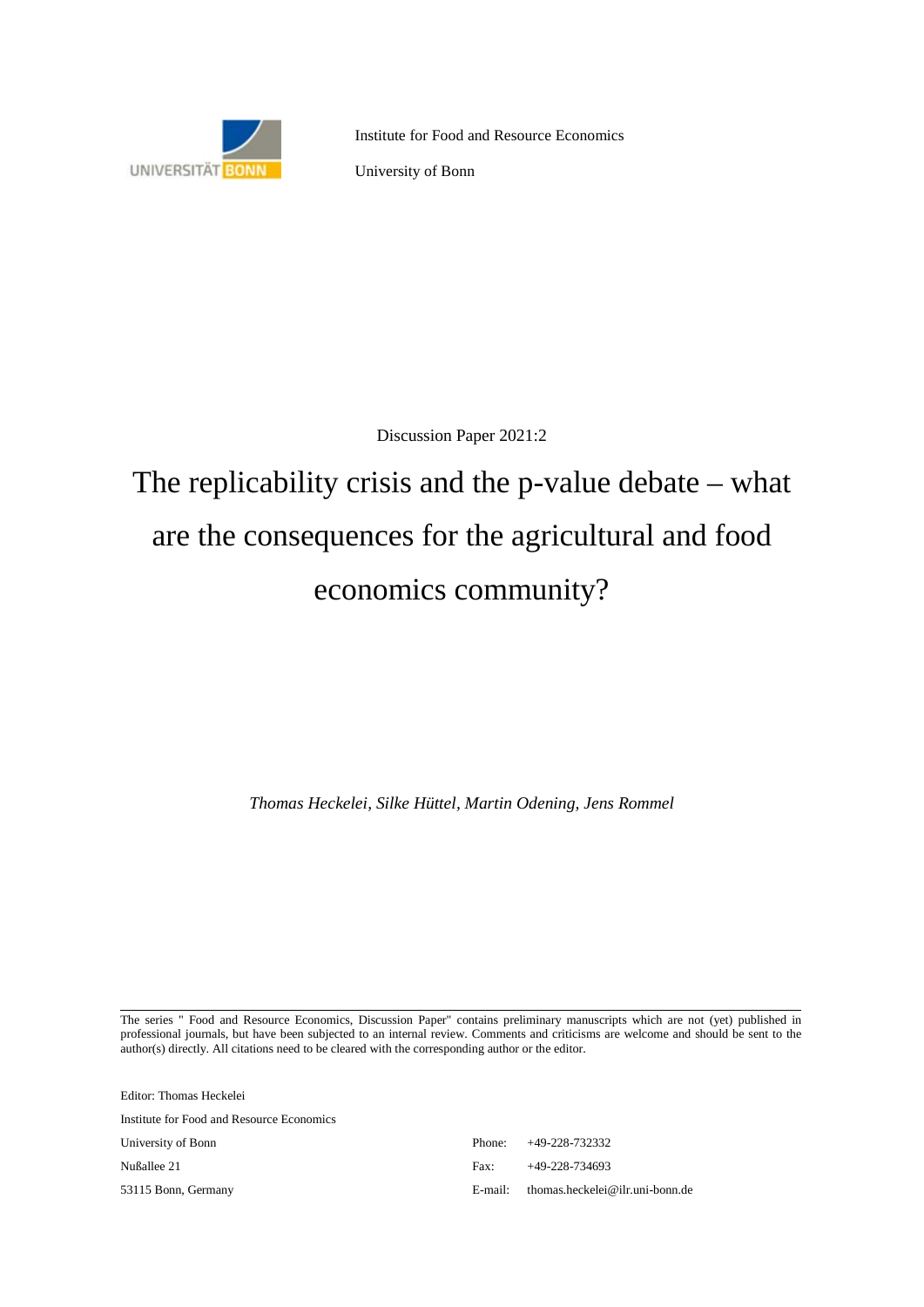

Institute for Food and Resource Economics

University of Bonn

Discussion Paper 2021:2

# The replicability crisis and the p-value debate – what are the consequences for the agricultural and food economics community?

*Thomas Heckelei, Silke Hüttel, Martin Odening, Jens Rommel*

The series " Food and Resource Economics, Discussion Paper" contains preliminary manuscripts which are not (yet) published in professional journals, but have been subjected to an internal review. Comments and criticisms are welcome and should be sent to the author(s) directly. All citations need to be cleared with the corresponding author or the editor.

| Editor: Thomas Heckelei                   |         |                                 |
|-------------------------------------------|---------|---------------------------------|
| Institute for Food and Resource Economics |         |                                 |
| University of Bonn                        | Phone:  | +49-228-732332                  |
| Nußallee 21                               | Fax:    | $+49-228-734693$                |
| 53115 Bonn, Germany                       | E-mail: | thomas.heckelei@ilr.uni-bonn.de |
|                                           |         |                                 |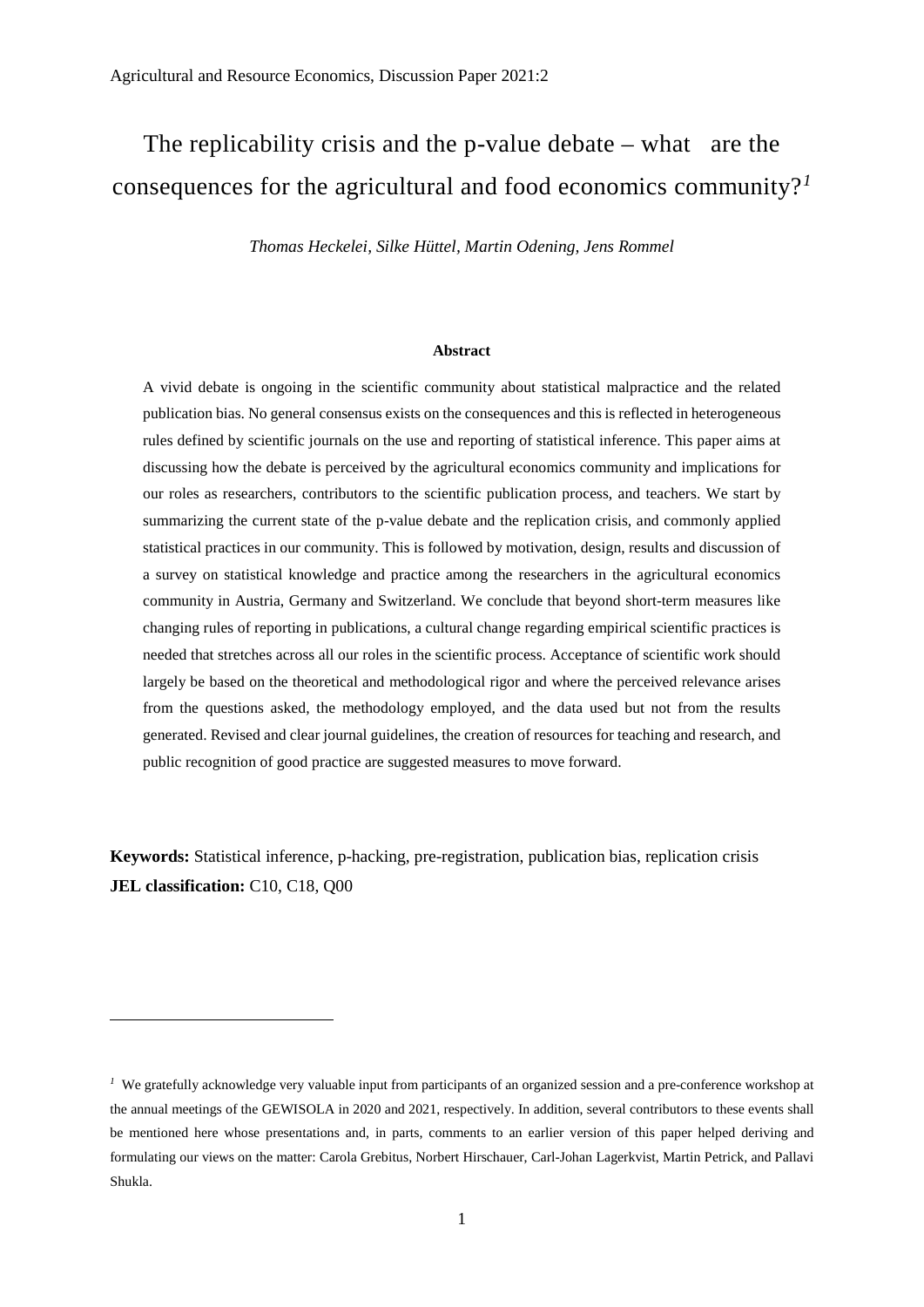# The replicability crisis and the p-value debate – what are the consequences for the agricultural and food economics community?*[1](#page-1-0)*

*Thomas Heckelei, Silke Hüttel, Martin Odening, Jens Rommel*

#### **Abstract**

A vivid debate is ongoing in the scientific community about statistical malpractice and the related publication bias. No general consensus exists on the consequences and this is reflected in heterogeneous rules defined by scientific journals on the use and reporting of statistical inference. This paper aims at discussing how the debate is perceived by the agricultural economics community and implications for our roles as researchers, contributors to the scientific publication process, and teachers. We start by summarizing the current state of the p-value debate and the replication crisis, and commonly applied statistical practices in our community. This is followed by motivation, design, results and discussion of a survey on statistical knowledge and practice among the researchers in the agricultural economics community in Austria, Germany and Switzerland. We conclude that beyond short-term measures like changing rules of reporting in publications, a cultural change regarding empirical scientific practices is needed that stretches across all our roles in the scientific process. Acceptance of scientific work should largely be based on the theoretical and methodological rigor and where the perceived relevance arises from the questions asked, the methodology employed, and the data used but not from the results generated. Revised and clear journal guidelines, the creation of resources for teaching and research, and public recognition of good practice are suggested measures to move forward.

**Keywords:** Statistical inference, p-hacking, pre-registration, publication bias, replication crisis **JEL classification:** C10, C18, Q00

<u>.</u>

<span id="page-1-0"></span><sup>&</sup>lt;sup>1</sup> We gratefully acknowledge very valuable input from participants of an organized session and a pre-conference workshop at the annual meetings of the GEWISOLA in 2020 and 2021, respectively. In addition, several contributors to these events shall be mentioned here whose presentations and, in parts, comments to an earlier version of this paper helped deriving and formulating our views on the matter: Carola Grebitus, Norbert Hirschauer, Carl-Johan Lagerkvist, Martin Petrick, and Pallavi Shukla.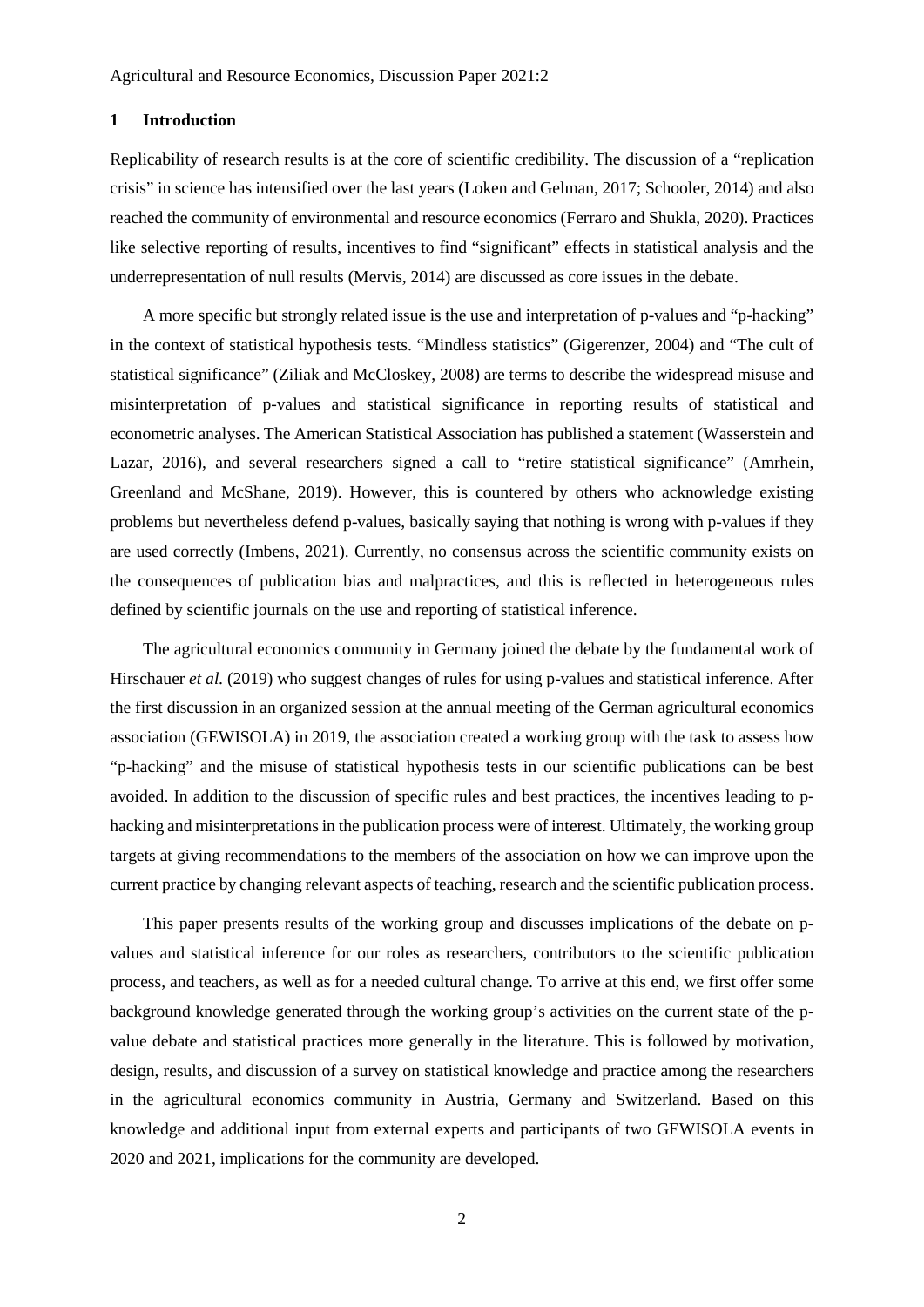# **1 Introduction**

Replicability of research results is at the core of scientific credibility. The discussion of a "replication crisis" in science has intensified over the last years (Loken and Gelman, 2017; Schooler, 2014) and also reached the community of environmental and resource economics (Ferraro and Shukla, 2020). Practices like selective reporting of results, incentives to find "significant" effects in statistical analysis and the underrepresentation of null results (Mervis, 2014) are discussed as core issues in the debate.

A more specific but strongly related issue is the use and interpretation of p-values and "p-hacking" in the context of statistical hypothesis tests. "Mindless statistics" (Gigerenzer, 2004) and "The cult of statistical significance" (Ziliak and McCloskey, 2008) are terms to describe the widespread misuse and misinterpretation of p-values and statistical significance in reporting results of statistical and econometric analyses. The American Statistical Association has published a statement (Wasserstein and Lazar, 2016), and several researchers signed a call to "retire statistical significance" (Amrhein, Greenland and McShane, 2019). However, this is countered by others who acknowledge existing problems but nevertheless defend p-values, basically saying that nothing is wrong with p-values if they are used correctly (Imbens, 2021). Currently, no consensus across the scientific community exists on the consequences of publication bias and malpractices, and this is reflected in heterogeneous rules defined by scientific journals on the use and reporting of statistical inference.

The agricultural economics community in Germany joined the debate by the fundamental work of Hirschauer *et al.* (2019) who suggest changes of rules for using p-values and statistical inference. After the first discussion in an organized session at the annual meeting of the German agricultural economics association (GEWISOLA) in 2019, the association created a working group with the task to assess how "p-hacking" and the misuse of statistical hypothesis tests in our scientific publications can be best avoided. In addition to the discussion of specific rules and best practices, the incentives leading to phacking and misinterpretations in the publication process were of interest. Ultimately, the working group targets at giving recommendations to the members of the association on how we can improve upon the current practice by changing relevant aspects of teaching, research and the scientific publication process.

This paper presents results of the working group and discusses implications of the debate on pvalues and statistical inference for our roles as researchers, contributors to the scientific publication process, and teachers, as well as for a needed cultural change. To arrive at this end, we first offer some background knowledge generated through the working group's activities on the current state of the pvalue debate and statistical practices more generally in the literature. This is followed by motivation, design, results, and discussion of a survey on statistical knowledge and practice among the researchers in the agricultural economics community in Austria, Germany and Switzerland. Based on this knowledge and additional input from external experts and participants of two GEWISOLA events in 2020 and 2021, implications for the community are developed.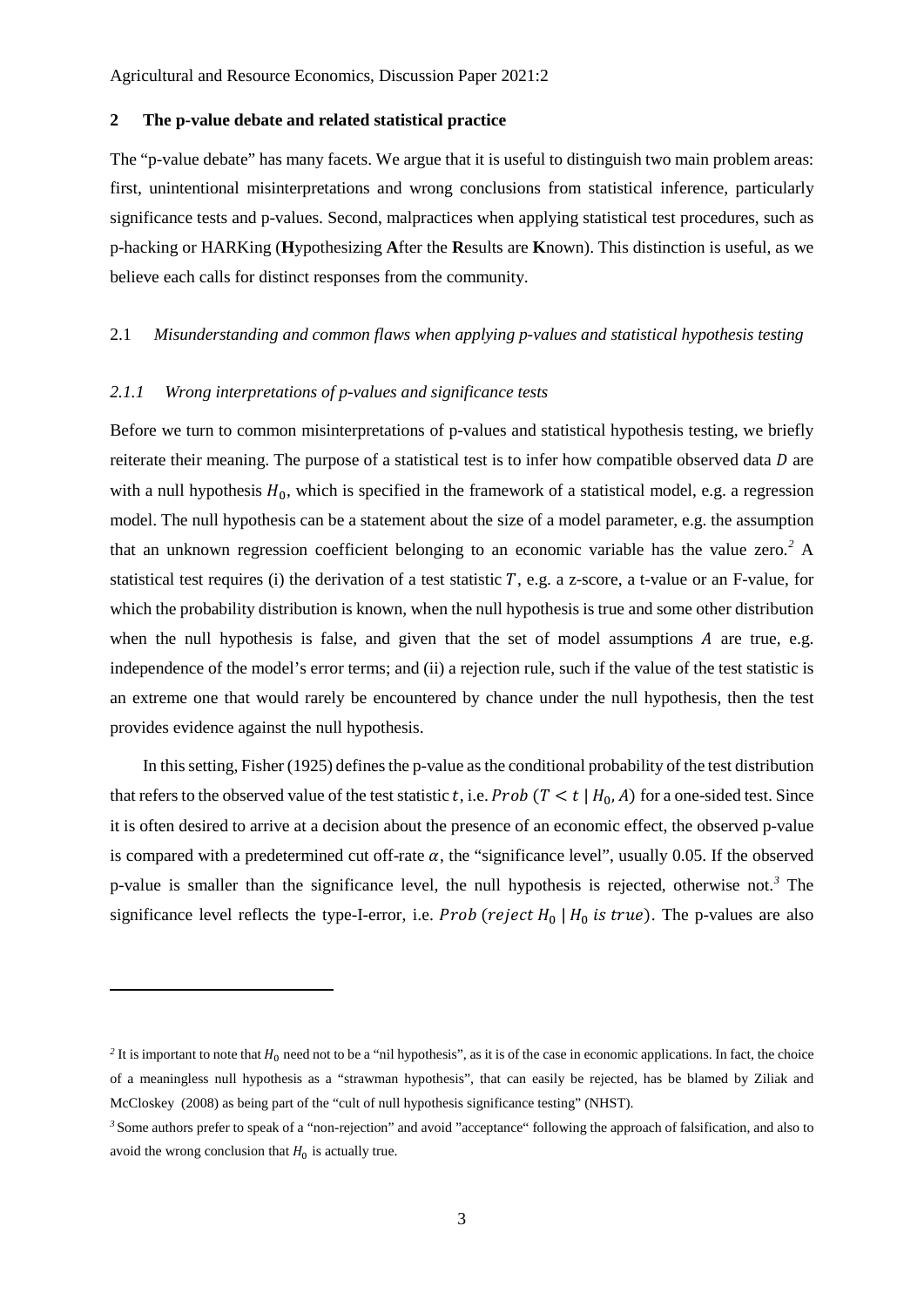# **2 The p-value debate and related statistical practice**

The "p-value debate" has many facets. We argue that it is useful to distinguish two main problem areas: first, unintentional misinterpretations and wrong conclusions from statistical inference, particularly significance tests and p-values. Second, malpractices when applying statistical test procedures, such as p-hacking or HARKing (**H**ypothesizing **A**fter the **R**esults are **K**nown). This distinction is useful, as we believe each calls for distinct responses from the community.

# 2.1 *Misunderstanding and common flaws when applying p-values and statistical hypothesis testing*

#### *2.1.1 Wrong interpretations of p-values and significance tests*

<u>.</u>

Before we turn to common misinterpretations of p-values and statistical hypothesis testing, we briefly reiterate their meaning. The purpose of a statistical test is to infer how compatible observed data  $D$  are with a null hypothesis  $H_0$ , which is specified in the framework of a statistical model, e.g. a regression model. The null hypothesis can be a statement about the size of a model parameter, e.g. the assumption that an unknown regression coefficient belonging to an economic variable has the value zero.*[2](#page-3-0)* A statistical test requires (i) the derivation of a test statistic  $T$ , e.g. a z-score, a t-value or an F-value, for which the probability distribution is known, when the null hypothesis is true and some other distribution when the null hypothesis is false, and given that the set of model assumptions  $A$  are true, e.g. independence of the model's error terms; and (ii) a rejection rule, such if the value of the test statistic is an extreme one that would rarely be encountered by chance under the null hypothesis, then the test provides evidence against the null hypothesis.

In this setting, Fisher (1925) defines the p-value as the conditional probability of the test distribution that refers to the observed value of the test statistic t, i.e. Prob  $(T < t | H_0, A)$  for a one-sided test. Since it is often desired to arrive at a decision about the presence of an economic effect, the observed p-value is compared with a predetermined cut off-rate  $\alpha$ , the "significance level", usually 0.05. If the observed p-value is smaller than the significance level, the null hypothesis is rejected, otherwise not.*[3](#page-3-1)* The significance level reflects the type-I-error, i.e. *Prob* (*reject*  $H_0$  |  $H_0$  *is true*). The p-values are also

<span id="page-3-0"></span><sup>&</sup>lt;sup>2</sup> It is important to note that  $H_0$  need not to be a "nil hypothesis", as it is of the case in economic applications. In fact, the choice of a meaningless null hypothesis as a "strawman hypothesis", that can easily be rejected, has be blamed by Ziliak and McCloskey (2008) as being part of the "cult of null hypothesis significance testing" (NHST).

<span id="page-3-1"></span>*<sup>3</sup>* Some authors prefer to speak of a "non-rejection" and avoid "acceptance" following the approach of falsification, and also to avoid the wrong conclusion that  $H_0$  is actually true.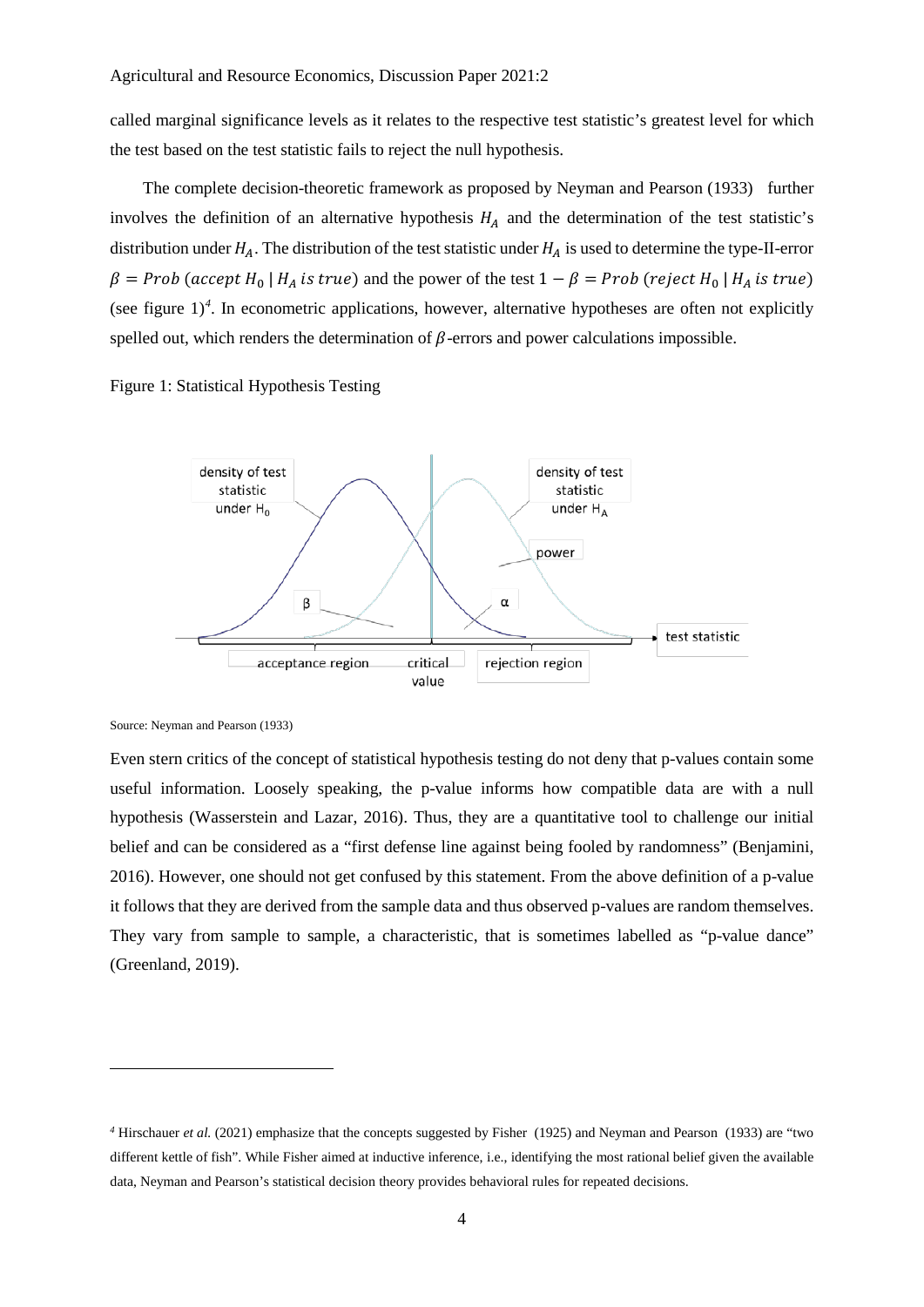called marginal significance levels as it relates to the respective test statistic's greatest level for which the test based on the test statistic fails to reject the null hypothesis.

The complete decision-theoretic framework as proposed by Neyman and Pearson (1933) further involves the definition of an alternative hypothesis  $H_A$  and the determination of the test statistic's distribution under  $H_A$ . The distribution of the test statistic under  $H_A$  is used to determine the type-II-error  $\beta = Prob$  (accept  $H_0 | H_A$  is true) and the power of the test  $1 - \beta = Prob$  (reject  $H_0 | H_A$  is true) (see figure  $1)^4$  $1)^4$ . In econometric applications, however, alternative hypotheses are often not explicitly spelled out, which renders the determination of  $\beta$ -errors and power calculations impossible.

Figure 1: Statistical Hypothesis Testing



Source: Neyman and Pearson (1933)

<u>.</u>

Even stern critics of the concept of statistical hypothesis testing do not deny that p-values contain some useful information. Loosely speaking, the p-value informs how compatible data are with a null hypothesis (Wasserstein and Lazar, 2016). Thus, they are a quantitative tool to challenge our initial belief and can be considered as a "first defense line against being fooled by randomness" (Benjamini, 2016). However, one should not get confused by this statement. From the above definition of a p-value it follows that they are derived from the sample data and thus observed p-values are random themselves. They vary from sample to sample, a characteristic, that is sometimes labelled as "p-value dance" (Greenland, 2019).

<span id="page-4-0"></span>*<sup>4</sup>* Hirschauer *et al.* (2021) emphasize that the concepts suggested by Fisher (1925) and Neyman and Pearson (1933) are "two different kettle of fish". While Fisher aimed at inductive inference, i.e., identifying the most rational belief given the available data, Neyman and Pearson's statistical decision theory provides behavioral rules for repeated decisions.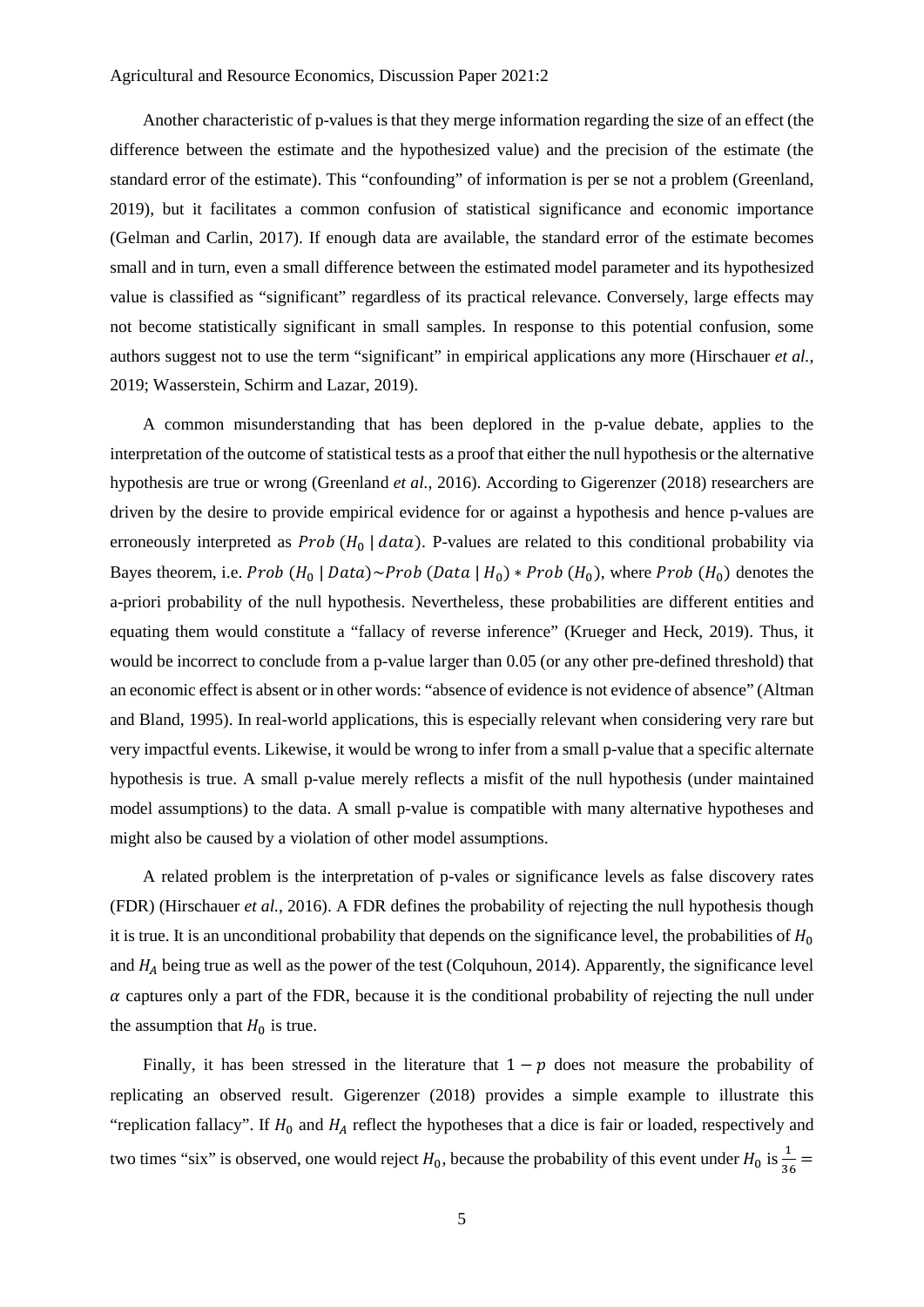Another characteristic of p-values is that they merge information regarding the size of an effect (the difference between the estimate and the hypothesized value) and the precision of the estimate (the standard error of the estimate). This "confounding" of information is per se not a problem (Greenland, 2019), but it facilitates a common confusion of statistical significance and economic importance (Gelman and Carlin, 2017). If enough data are available, the standard error of the estimate becomes small and in turn, even a small difference between the estimated model parameter and its hypothesized value is classified as "significant" regardless of its practical relevance. Conversely, large effects may not become statistically significant in small samples. In response to this potential confusion, some authors suggest not to use the term "significant" in empirical applications any more (Hirschauer *et al.*, 2019; Wasserstein, Schirm and Lazar, 2019).

A common misunderstanding that has been deplored in the p-value debate, applies to the interpretation of the outcome of statistical tests as a proof that either the null hypothesis or the alternative hypothesis are true or wrong (Greenland *et al.*, 2016). According to Gigerenzer (2018) researchers are driven by the desire to provide empirical evidence for or against a hypothesis and hence p-values are erroneously interpreted as  $Prob(H_0 | data)$ . P-values are related to this conditional probability via Bayes theorem, i.e. Prob  $(H_0 | Data) \sim Prob (Data | H_0) * Prob (H_0)$ , where Prob  $(H_0)$  denotes the a-priori probability of the null hypothesis. Nevertheless, these probabilities are different entities and equating them would constitute a "fallacy of reverse inference" (Krueger and Heck, 2019). Thus, it would be incorrect to conclude from a p-value larger than 0.05 (or any other pre-defined threshold) that an economic effect is absent or in other words: "absence of evidence is not evidence of absence" (Altman and Bland, 1995). In real-world applications, this is especially relevant when considering very rare but very impactful events. Likewise, it would be wrong to infer from a small p-value that a specific alternate hypothesis is true. A small p-value merely reflects a misfit of the null hypothesis (under maintained model assumptions) to the data. A small p-value is compatible with many alternative hypotheses and might also be caused by a violation of other model assumptions.

A related problem is the interpretation of p-vales or significance levels as false discovery rates (FDR) (Hirschauer *et al.*, 2016). A FDR defines the probability of rejecting the null hypothesis though it is true. It is an unconditional probability that depends on the significance level, the probabilities of  $H_0$ and  $H_A$  being true as well as the power of the test (Colquhoun, 2014). Apparently, the significance level  $\alpha$  captures only a part of the FDR, because it is the conditional probability of rejecting the null under the assumption that  $H_0$  is true.

Finally, it has been stressed in the literature that  $1 - p$  does not measure the probability of replicating an observed result. Gigerenzer (2018) provides a simple example to illustrate this "replication fallacy". If  $H_0$  and  $H_A$  reflect the hypotheses that a dice is fair or loaded, respectively and two times "six" is observed, one would reject  $H_0$ , because the probability of this event under  $H_0$  is  $\frac{1}{36}$  =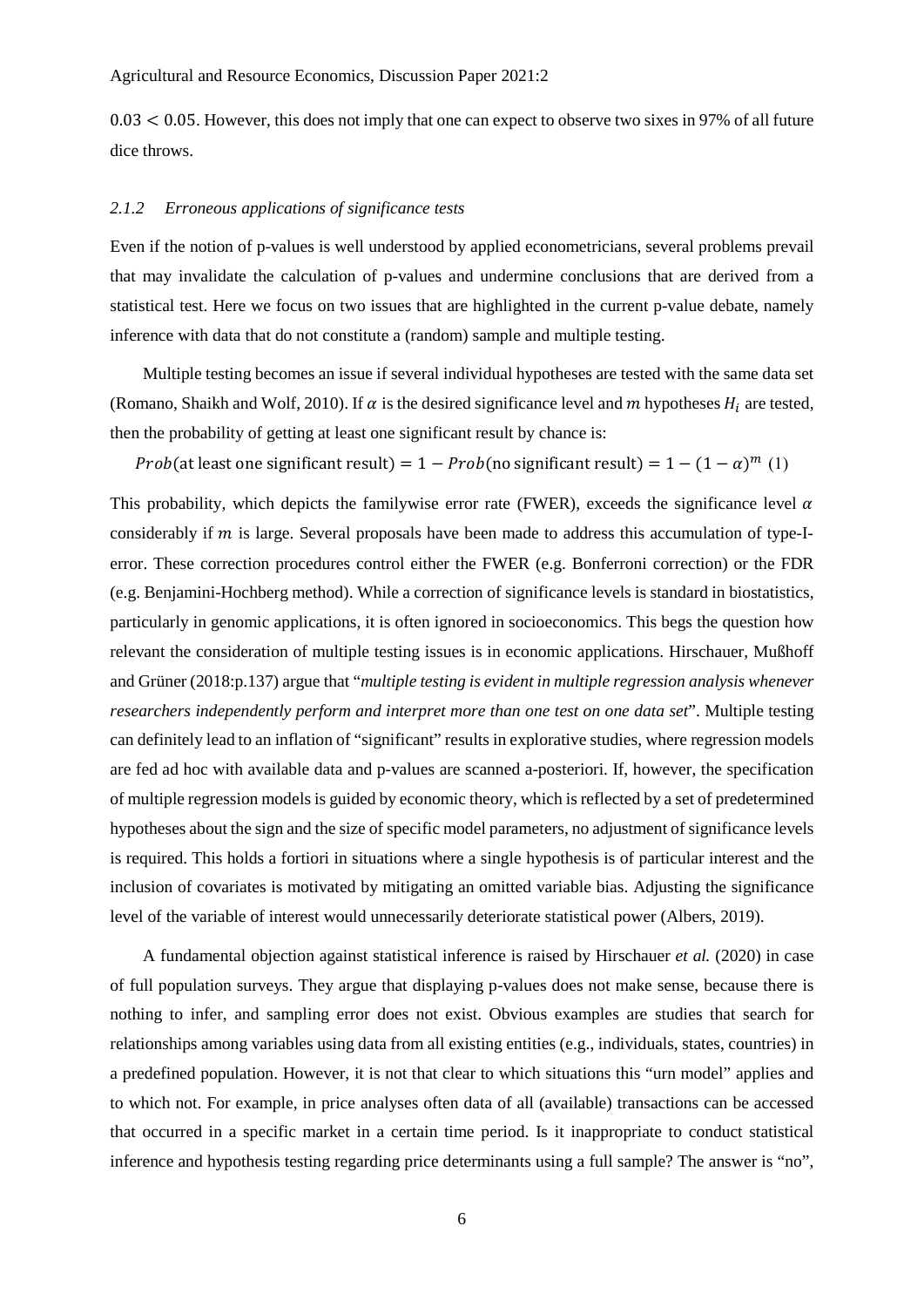$0.03 < 0.05$ . However, this does not imply that one can expect to observe two sixes in 97% of all future dice throws.

#### *2.1.2 Erroneous applications of significance tests*

Even if the notion of p-values is well understood by applied econometricians, several problems prevail that may invalidate the calculation of p-values and undermine conclusions that are derived from a statistical test. Here we focus on two issues that are highlighted in the current p-value debate, namely inference with data that do not constitute a (random) sample and multiple testing.

Multiple testing becomes an issue if several individual hypotheses are tested with the same data set (Romano, Shaikh and Wolf, 2010). If  $\alpha$  is the desired significance level and  $m$  hypotheses  $H_i$  are tested, then the probability of getting at least one significant result by chance is:

Prob(at least one significant result) =  $1 - Prob$ (no significant result) =  $1 - (1 - \alpha)^m$  (1)

This probability, which depicts the familywise error rate (FWER), exceeds the significance level  $\alpha$ considerably if  $m$  is large. Several proposals have been made to address this accumulation of type-Ierror. These correction procedures control either the FWER (e.g. Bonferroni correction) or the FDR (e.g. Benjamini-Hochberg method). While a correction of significance levels is standard in biostatistics, particularly in genomic applications, it is often ignored in socioeconomics. This begs the question how relevant the consideration of multiple testing issues is in economic applications. Hirschauer, Mußhoff and Grüner (2018:p.137) argue that "*multiple testing is evident in multiple regression analysis whenever researchers independently perform and interpret more than one test on one data set*". Multiple testing can definitely lead to an inflation of "significant" results in explorative studies, where regression models are fed ad hoc with available data and p-values are scanned a-posteriori. If, however, the specification of multiple regression models is guided by economic theory, which is reflected by a set of predetermined hypotheses about the sign and the size of specific model parameters, no adjustment of significance levels is required. This holds a fortiori in situations where a single hypothesis is of particular interest and the inclusion of covariates is motivated by mitigating an omitted variable bias. Adjusting the significance level of the variable of interest would unnecessarily deteriorate statistical power (Albers, 2019).

A fundamental objection against statistical inference is raised by Hirschauer *et al.* (2020) in case of full population surveys. They argue that displaying p-values does not make sense, because there is nothing to infer, and sampling error does not exist. Obvious examples are studies that search for relationships among variables using data from all existing entities (e.g., individuals, states, countries) in a predefined population. However, it is not that clear to which situations this "urn model" applies and to which not. For example, in price analyses often data of all (available) transactions can be accessed that occurred in a specific market in a certain time period. Is it inappropriate to conduct statistical inference and hypothesis testing regarding price determinants using a full sample? The answer is "no",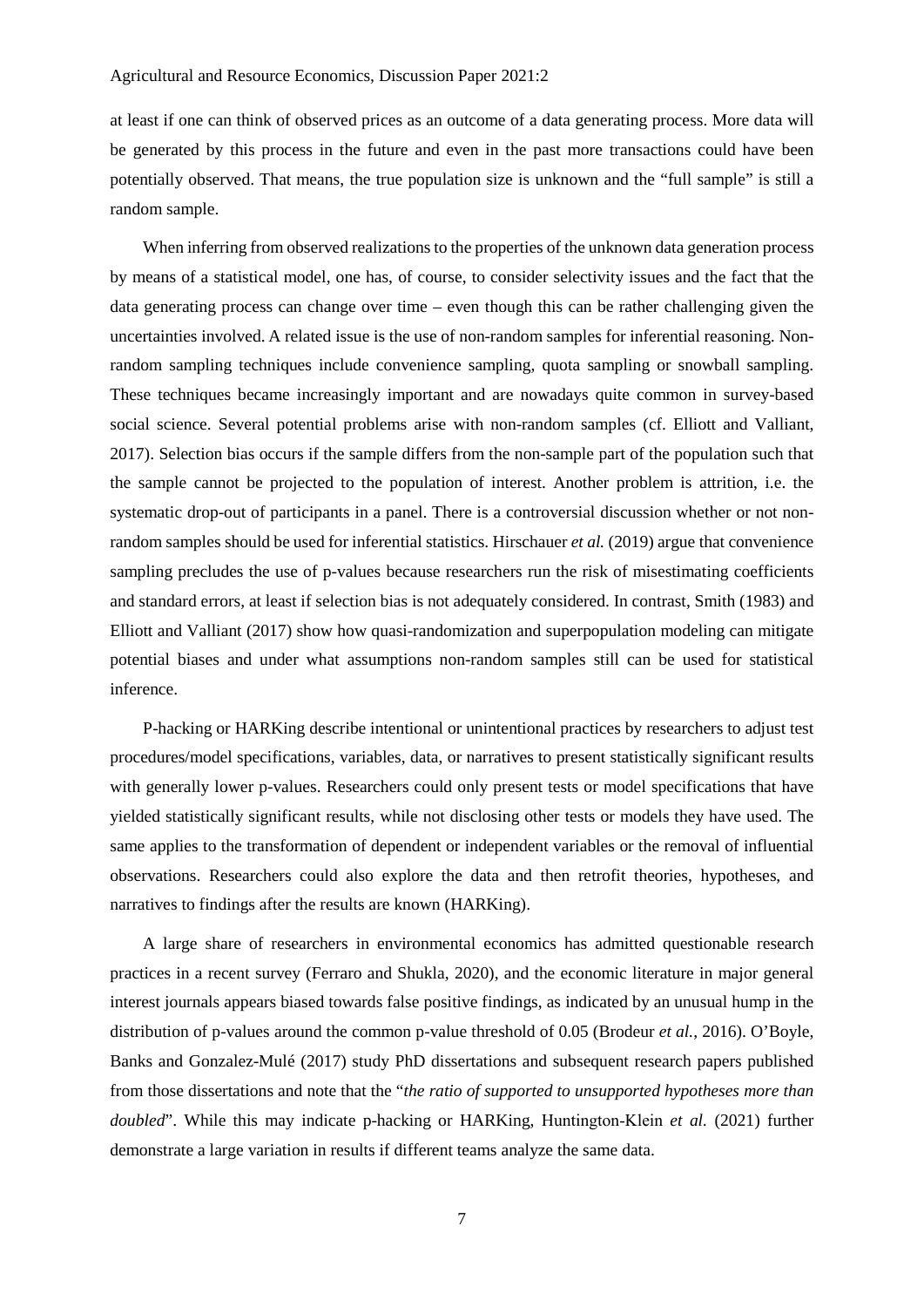at least if one can think of observed prices as an outcome of a data generating process. More data will be generated by this process in the future and even in the past more transactions could have been potentially observed. That means, the true population size is unknown and the "full sample" is still a random sample.

When inferring from observed realizations to the properties of the unknown data generation process by means of a statistical model, one has, of course, to consider selectivity issues and the fact that the data generating process can change over time – even though this can be rather challenging given the uncertainties involved. A related issue is the use of non-random samples for inferential reasoning. Nonrandom sampling techniques include convenience sampling, quota sampling or snowball sampling. These techniques became increasingly important and are nowadays quite common in survey-based social science. Several potential problems arise with non-random samples (cf. Elliott and Valliant, 2017). Selection bias occurs if the sample differs from the non-sample part of the population such that the sample cannot be projected to the population of interest. Another problem is attrition, i.e. the systematic drop-out of participants in a panel. There is a controversial discussion whether or not nonrandom samples should be used for inferential statistics. Hirschauer *et al.* (2019) argue that convenience sampling precludes the use of p-values because researchers run the risk of misestimating coefficients and standard errors, at least if selection bias is not adequately considered. In contrast, Smith (1983) and Elliott and Valliant (2017) show how quasi-randomization and superpopulation modeling can mitigate potential biases and under what assumptions non-random samples still can be used for statistical inference.

P-hacking or HARKing describe intentional or unintentional practices by researchers to adjust test procedures/model specifications, variables, data, or narratives to present statistically significant results with generally lower p-values. Researchers could only present tests or model specifications that have yielded statistically significant results, while not disclosing other tests or models they have used. The same applies to the transformation of dependent or independent variables or the removal of influential observations. Researchers could also explore the data and then retrofit theories, hypotheses, and narratives to findings after the results are known (HARKing).

A large share of researchers in environmental economics has admitted questionable research practices in a recent survey (Ferraro and Shukla, 2020), and the economic literature in major general interest journals appears biased towards false positive findings, as indicated by an unusual hump in the distribution of p-values around the common p-value threshold of 0.05 (Brodeur *et al.*, 2016). O'Boyle, Banks and Gonzalez-Mulé (2017) study PhD dissertations and subsequent research papers published from those dissertations and note that the "*the ratio of supported to unsupported hypotheses more than doubled*". While this may indicate p-hacking or HARKing, Huntington‐Klein *et al.* (2021) further demonstrate a large variation in results if different teams analyze the same data.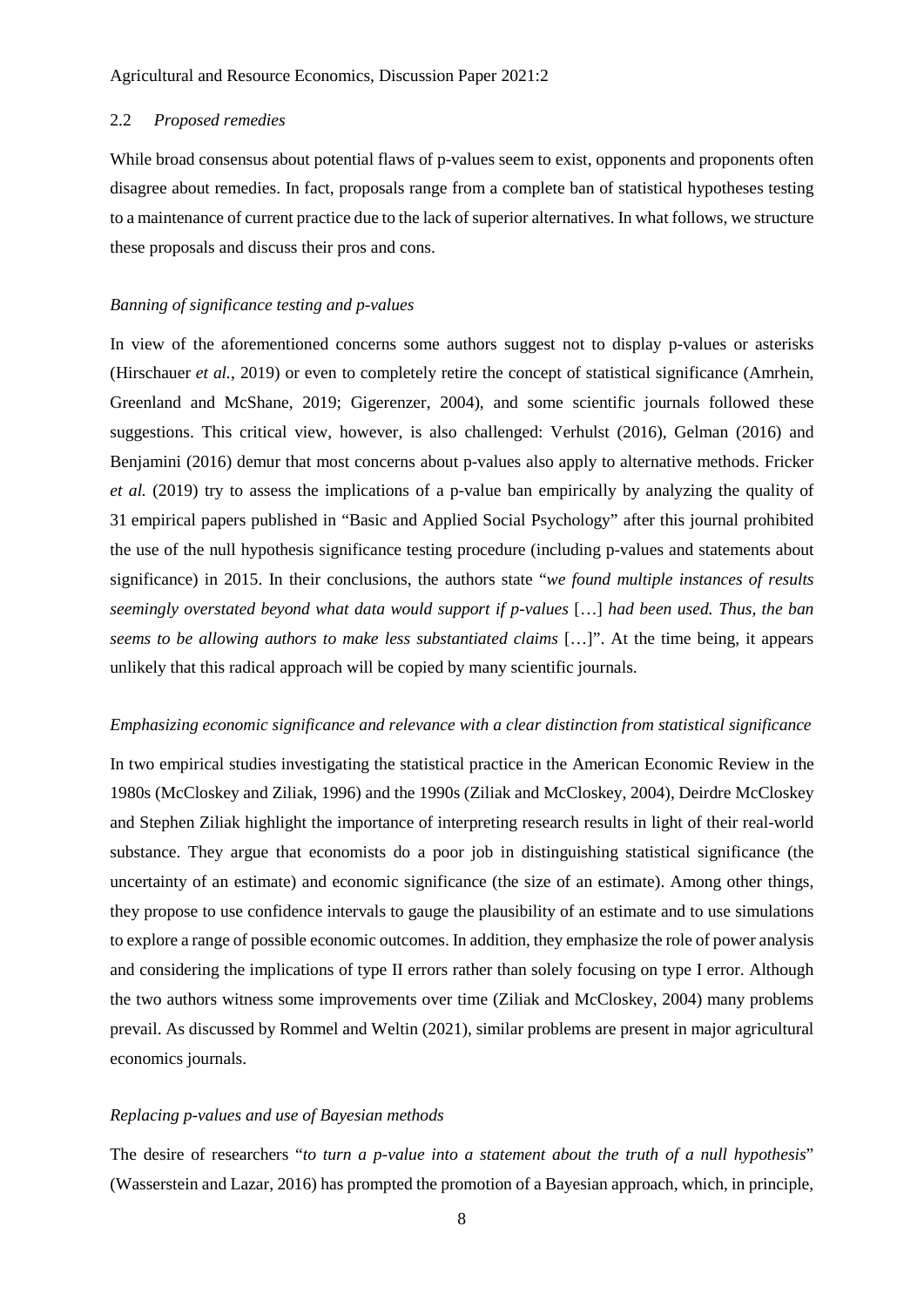# 2.2 *Proposed remedies*

While broad consensus about potential flaws of p-values seem to exist, opponents and proponents often disagree about remedies. In fact, proposals range from a complete ban of statistical hypotheses testing to a maintenance of current practice due to the lack of superior alternatives. In what follows, we structure these proposals and discuss their pros and cons.

#### *Banning of significance testing and p-values*

In view of the aforementioned concerns some authors suggest not to display p-values or asterisks (Hirschauer *et al.*, 2019) or even to completely retire the concept of statistical significance (Amrhein, Greenland and McShane, 2019; Gigerenzer, 2004), and some scientific journals followed these suggestions. This critical view, however, is also challenged: Verhulst (2016), Gelman (2016) and Benjamini (2016) demur that most concerns about p-values also apply to alternative methods. Fricker *et al.* (2019) try to assess the implications of a p-value ban empirically by analyzing the quality of 31 empirical papers published in "Basic and Applied Social Psychology" after this journal prohibited the use of the null hypothesis significance testing procedure (including p-values and statements about significance) in 2015. In their conclusions, the authors state "*we found multiple instances of results seemingly overstated beyond what data would support if p-values* […] *had been used. Thus, the ban seems to be allowing authors to make less substantiated claims* […]". At the time being, it appears unlikely that this radical approach will be copied by many scientific journals.

# *Emphasizing economic significance and relevance with a clear distinction from statistical significance*

In two empirical studies investigating the statistical practice in the American Economic Review in the 1980s (McCloskey and Ziliak, 1996) and the 1990s (Ziliak and McCloskey, 2004), Deirdre McCloskey and Stephen Ziliak highlight the importance of interpreting research results in light of their real-world substance. They argue that economists do a poor job in distinguishing statistical significance (the uncertainty of an estimate) and economic significance (the size of an estimate). Among other things, they propose to use confidence intervals to gauge the plausibility of an estimate and to use simulations to explore a range of possible economic outcomes. In addition, they emphasize the role of power analysis and considering the implications of type II errors rather than solely focusing on type I error. Although the two authors witness some improvements over time (Ziliak and McCloskey, 2004) many problems prevail. As discussed by Rommel and Weltin (2021), similar problems are present in major agricultural economics journals.

# *Replacing p-values and use of Bayesian methods*

The desire of researchers "*to turn a p-value into a statement about the truth of a null hypothesis*" (Wasserstein and Lazar, 2016) has prompted the promotion of a Bayesian approach, which, in principle,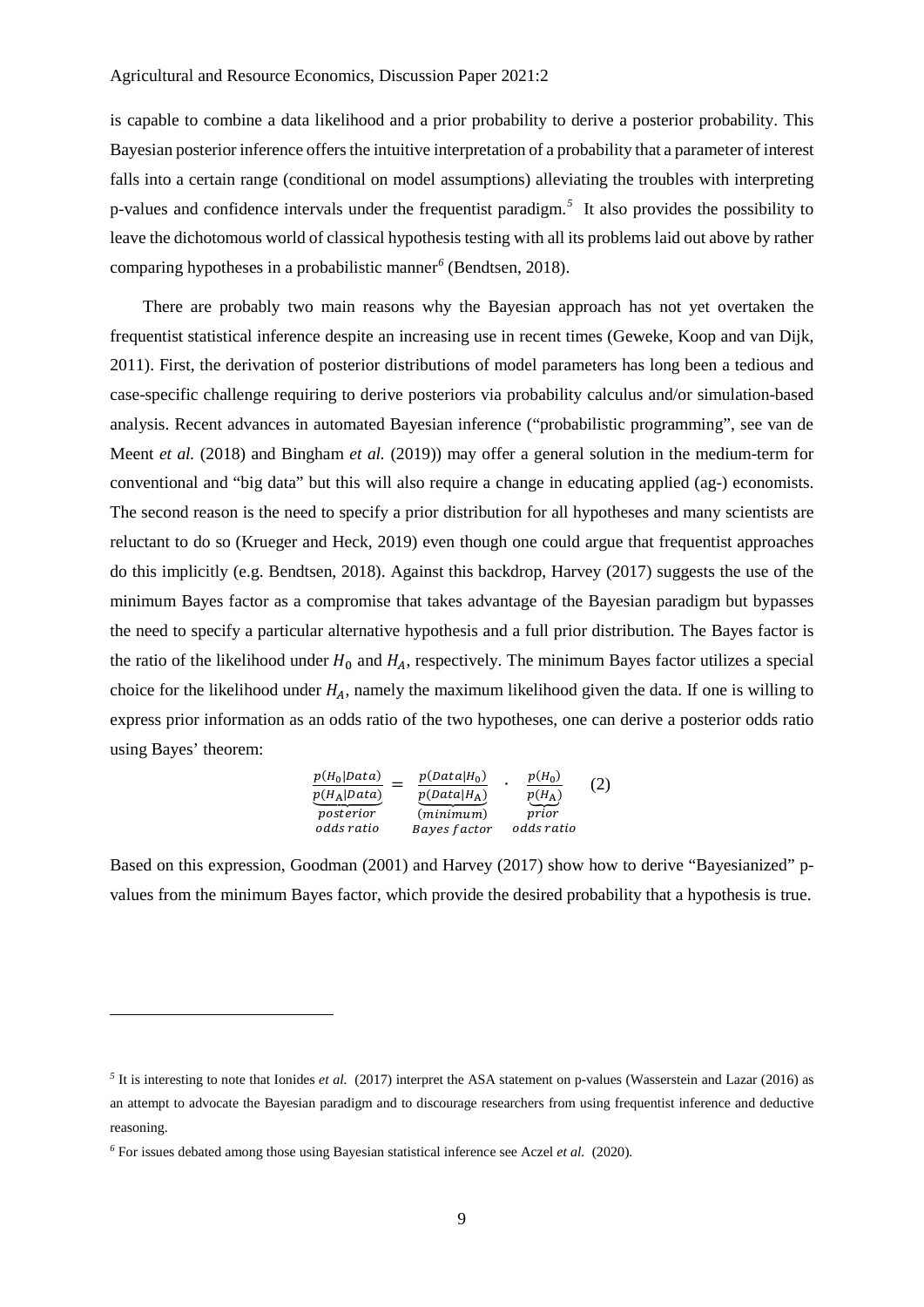is capable to combine a data likelihood and a prior probability to derive a posterior probability. This Bayesian posterior inference offers the intuitive interpretation of a probability that a parameter of interest falls into a certain range (conditional on model assumptions) alleviating the troubles with interpreting p-values and confidence intervals under the frequentist paradigm.*[5](#page-9-0)* It also provides the possibility to leave the dichotomous world of classical hypothesis testing with all its problems laid out above by rather comparing hypotheses in a probabilistic manner*[6](#page-9-1)* (Bendtsen, 2018).

There are probably two main reasons why the Bayesian approach has not yet overtaken the frequentist statistical inference despite an increasing use in recent times (Geweke, Koop and van Dijk, 2011). First, the derivation of posterior distributions of model parameters has long been a tedious and case-specific challenge requiring to derive posteriors via probability calculus and/or simulation-based analysis. Recent advances in automated Bayesian inference ("probabilistic programming", see van de Meent *et al.* (2018) and Bingham *et al.* (2019)) may offer a general solution in the medium-term for conventional and "big data" but this will also require a change in educating applied (ag-) economists. The second reason is the need to specify a prior distribution for all hypotheses and many scientists are reluctant to do so (Krueger and Heck, 2019) even though one could argue that frequentist approaches do this implicitly (e.g. Bendtsen, 2018). Against this backdrop, Harvey (2017) suggests the use of the minimum Bayes factor as a compromise that takes advantage of the Bayesian paradigm but bypasses the need to specify a particular alternative hypothesis and a full prior distribution. The Bayes factor is the ratio of the likelihood under  $H_0$  and  $H_A$ , respectively. The minimum Bayes factor utilizes a special choice for the likelihood under  $H_A$ , namely the maximum likelihood given the data. If one is willing to express prior information as an odds ratio of the two hypotheses, one can derive a posterior odds ratio using Bayes' theorem:

$$
\frac{p(H_0|Data)}{p(H_A|Data)} = \frac{p(Data|H_0)}{p(Data|H_A)} \cdot \frac{p(H_0)}{p(H_A)} \cdot (2)
$$
\n*posterior*\n*odds ratio*\n*Bayes factor*\n*odds ratio*

Based on this expression, Goodman (2001) and Harvey (2017) show how to derive "Bayesianized" pvalues from the minimum Bayes factor, which provide the desired probability that a hypothesis is true.

<u>.</u>

<span id="page-9-0"></span><sup>&</sup>lt;sup>5</sup> It is interesting to note that Ionides *et al.* (2017) interpret the ASA statement on p-values (Wasserstein and Lazar (2016) as an attempt to advocate the Bayesian paradigm and to discourage researchers from using frequentist inference and deductive reasoning.

<span id="page-9-1"></span>*<sup>6</sup>* For issues debated among those using Bayesian statistical inference see Aczel *et al.* (2020).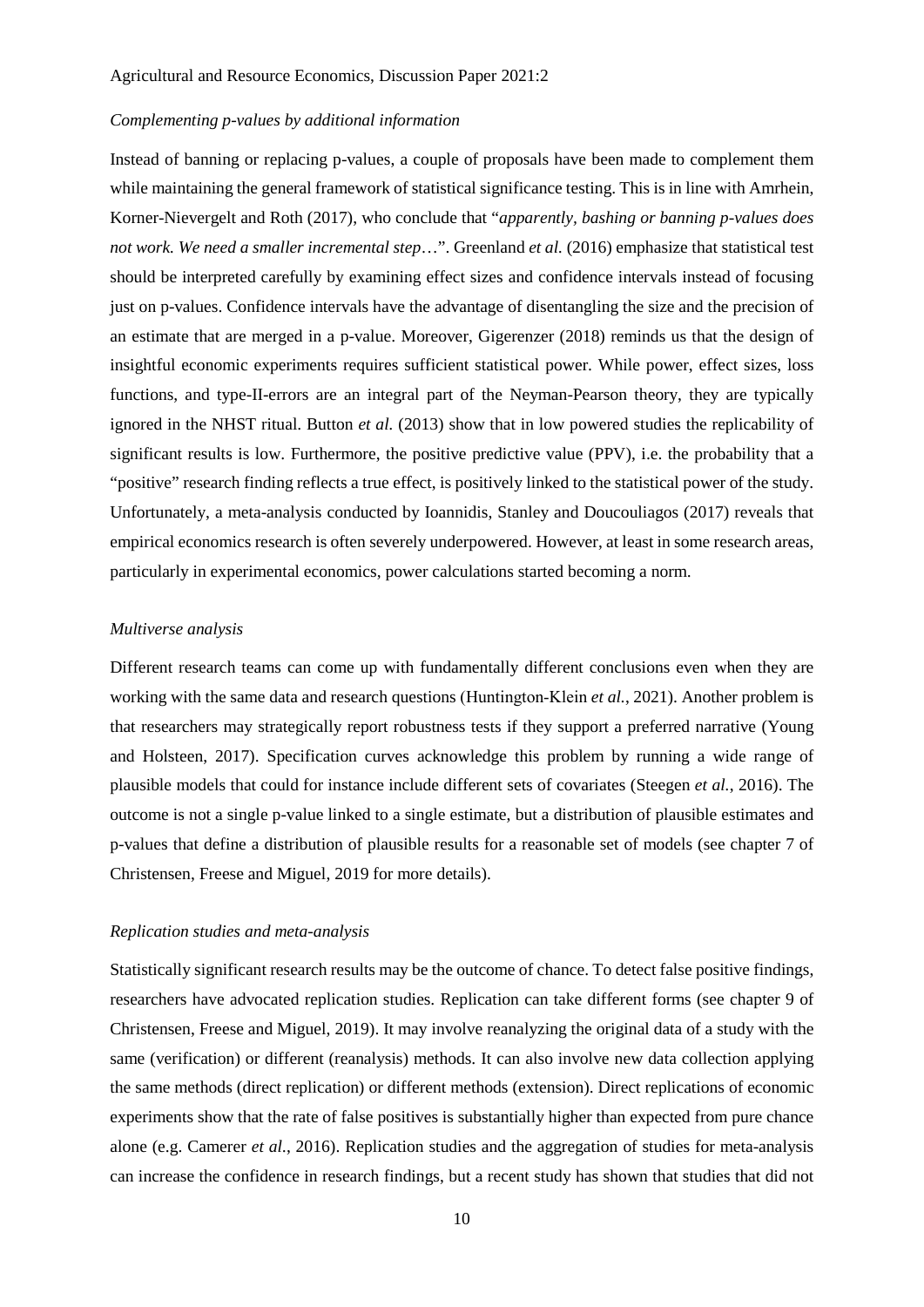# *Complementing p-values by additional information*

Instead of banning or replacing p-values, a couple of proposals have been made to complement them while maintaining the general framework of statistical significance testing. This is in line with Amrhein, Korner-Nievergelt and Roth (2017), who conclude that "*apparently, bashing or banning p-values does not work. We need a smaller incremental step*…". Greenland *et al.* (2016) emphasize that statistical test should be interpreted carefully by examining effect sizes and confidence intervals instead of focusing just on p-values. Confidence intervals have the advantage of disentangling the size and the precision of an estimate that are merged in a p-value. Moreover, Gigerenzer (2018) reminds us that the design of insightful economic experiments requires sufficient statistical power. While power, effect sizes, loss functions, and type-II-errors are an integral part of the Neyman-Pearson theory, they are typically ignored in the NHST ritual. Button *et al.* (2013) show that in low powered studies the replicability of significant results is low. Furthermore, the positive predictive value (PPV), i.e. the probability that a "positive" research finding reflects a true effect, is positively linked to the statistical power of the study. Unfortunately, a meta-analysis conducted by Ioannidis, Stanley and Doucouliagos (2017) reveals that empirical economics research is often severely underpowered. However, at least in some research areas, particularly in experimental economics, power calculations started becoming a norm.

# *Multiverse analysis*

Different research teams can come up with fundamentally different conclusions even when they are working with the same data and research questions (Huntington‐Klein *et al.*, 2021). Another problem is that researchers may strategically report robustness tests if they support a preferred narrative (Young and Holsteen, 2017). Specification curves acknowledge this problem by running a wide range of plausible models that could for instance include different sets of covariates (Steegen *et al.*, 2016). The outcome is not a single p-value linked to a single estimate, but a distribution of plausible estimates and p-values that define a distribution of plausible results for a reasonable set of models (see chapter 7 of Christensen, Freese and Miguel, 2019 for more details).

# *Replication studies and meta-analysis*

Statistically significant research results may be the outcome of chance. To detect false positive findings, researchers have advocated replication studies. Replication can take different forms (see chapter 9 of Christensen, Freese and Miguel, 2019). It may involve reanalyzing the original data of a study with the same (verification) or different (reanalysis) methods. It can also involve new data collection applying the same methods (direct replication) or different methods (extension). Direct replications of economic experiments show that the rate of false positives is substantially higher than expected from pure chance alone (e.g. Camerer *et al.*, 2016). Replication studies and the aggregation of studies for meta-analysis can increase the confidence in research findings, but a recent study has shown that studies that did not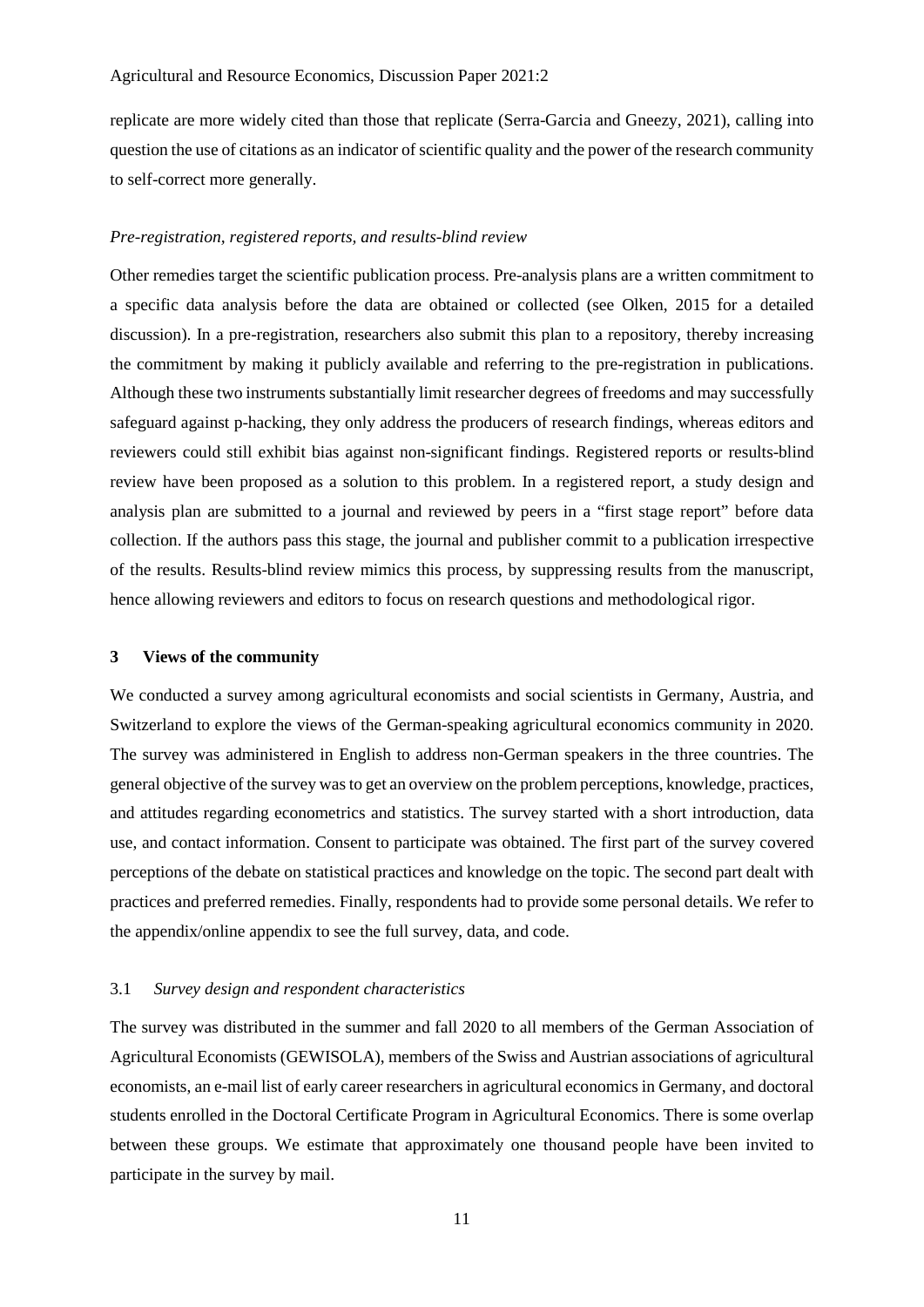replicate are more widely cited than those that replicate (Serra-Garcia and Gneezy, 2021), calling into question the use of citations as an indicator of scientific quality and the power of the research community to self-correct more generally.

# *Pre-registration, registered reports, and results-blind review*

Other remedies target the scientific publication process. Pre-analysis plans are a written commitment to a specific data analysis before the data are obtained or collected (see Olken, 2015 for a detailed discussion). In a pre-registration, researchers also submit this plan to a repository, thereby increasing the commitment by making it publicly available and referring to the pre-registration in publications. Although these two instruments substantially limit researcher degrees of freedoms and may successfully safeguard against p-hacking, they only address the producers of research findings, whereas editors and reviewers could still exhibit bias against non-significant findings. Registered reports or results-blind review have been proposed as a solution to this problem. In a registered report, a study design and analysis plan are submitted to a journal and reviewed by peers in a "first stage report" before data collection. If the authors pass this stage, the journal and publisher commit to a publication irrespective of the results. Results-blind review mimics this process, by suppressing results from the manuscript, hence allowing reviewers and editors to focus on research questions and methodological rigor.

# **3 Views of the community**

We conducted a survey among agricultural economists and social scientists in Germany, Austria, and Switzerland to explore the views of the German-speaking agricultural economics community in 2020. The survey was administered in English to address non-German speakers in the three countries. The general objective of the survey was to get an overview on the problem perceptions, knowledge, practices, and attitudes regarding econometrics and statistics. The survey started with a short introduction, data use, and contact information. Consent to participate was obtained. The first part of the survey covered perceptions of the debate on statistical practices and knowledge on the topic. The second part dealt with practices and preferred remedies. Finally, respondents had to provide some personal details. We refer to the appendix/online appendix to see the full survey, data, and code.

#### 3.1 *Survey design and respondent characteristics*

The survey was distributed in the summer and fall 2020 to all members of the German Association of Agricultural Economists (GEWISOLA), members of the Swiss and Austrian associations of agricultural economists, an e-mail list of early career researchers in agricultural economics in Germany, and doctoral students enrolled in the Doctoral Certificate Program in Agricultural Economics. There is some overlap between these groups. We estimate that approximately one thousand people have been invited to participate in the survey by mail.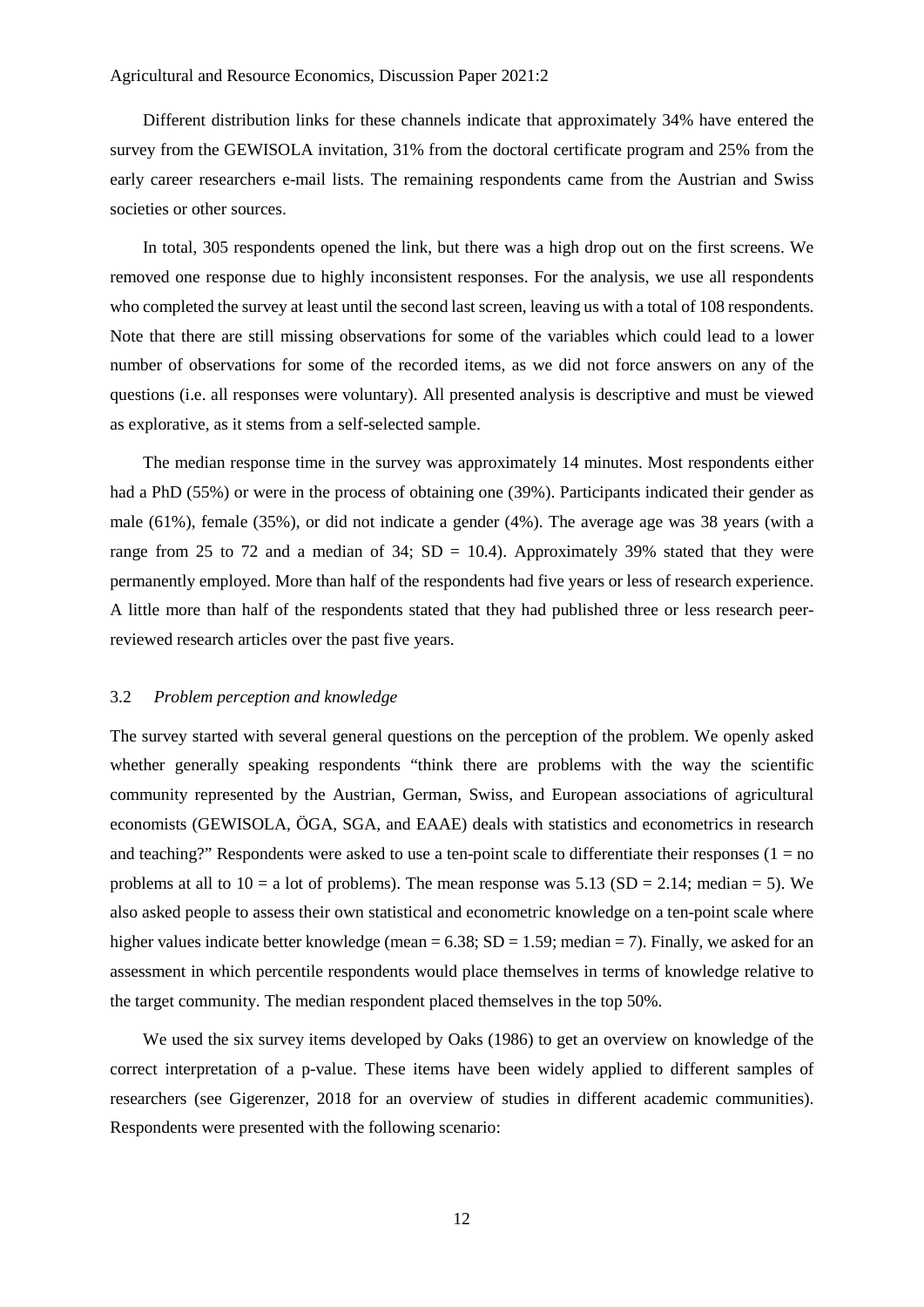Different distribution links for these channels indicate that approximately 34% have entered the survey from the GEWISOLA invitation, 31% from the doctoral certificate program and 25% from the early career researchers e-mail lists. The remaining respondents came from the Austrian and Swiss societies or other sources.

In total, 305 respondents opened the link, but there was a high drop out on the first screens. We removed one response due to highly inconsistent responses. For the analysis, we use all respondents who completed the survey at least until the second last screen, leaving us with a total of 108 respondents. Note that there are still missing observations for some of the variables which could lead to a lower number of observations for some of the recorded items, as we did not force answers on any of the questions (i.e. all responses were voluntary). All presented analysis is descriptive and must be viewed as explorative, as it stems from a self-selected sample.

The median response time in the survey was approximately 14 minutes. Most respondents either had a PhD (55%) or were in the process of obtaining one (39%). Participants indicated their gender as male (61%), female (35%), or did not indicate a gender (4%). The average age was 38 years (with a range from 25 to 72 and a median of 34;  $SD = 10.4$ ). Approximately 39% stated that they were permanently employed. More than half of the respondents had five years or less of research experience. A little more than half of the respondents stated that they had published three or less research peerreviewed research articles over the past five years.

#### 3.2 *Problem perception and knowledge*

The survey started with several general questions on the perception of the problem. We openly asked whether generally speaking respondents "think there are problems with the way the scientific community represented by the Austrian, German, Swiss, and European associations of agricultural economists (GEWISOLA, ÖGA, SGA, and EAAE) deals with statistics and econometrics in research and teaching?" Respondents were asked to use a ten-point scale to differentiate their responses  $(1 = no$ problems at all to  $10 = a$  lot of problems). The mean response was  $5.13$  (SD = 2.14; median = 5). We also asked people to assess their own statistical and econometric knowledge on a ten-point scale where higher values indicate better knowledge (mean =  $6.38$ ; SD = 1.59; median = 7). Finally, we asked for an assessment in which percentile respondents would place themselves in terms of knowledge relative to the target community. The median respondent placed themselves in the top 50%.

We used the six survey items developed by Oaks (1986) to get an overview on knowledge of the correct interpretation of a p-value. These items have been widely applied to different samples of researchers (see Gigerenzer, 2018 for an overview of studies in different academic communities). Respondents were presented with the following scenario: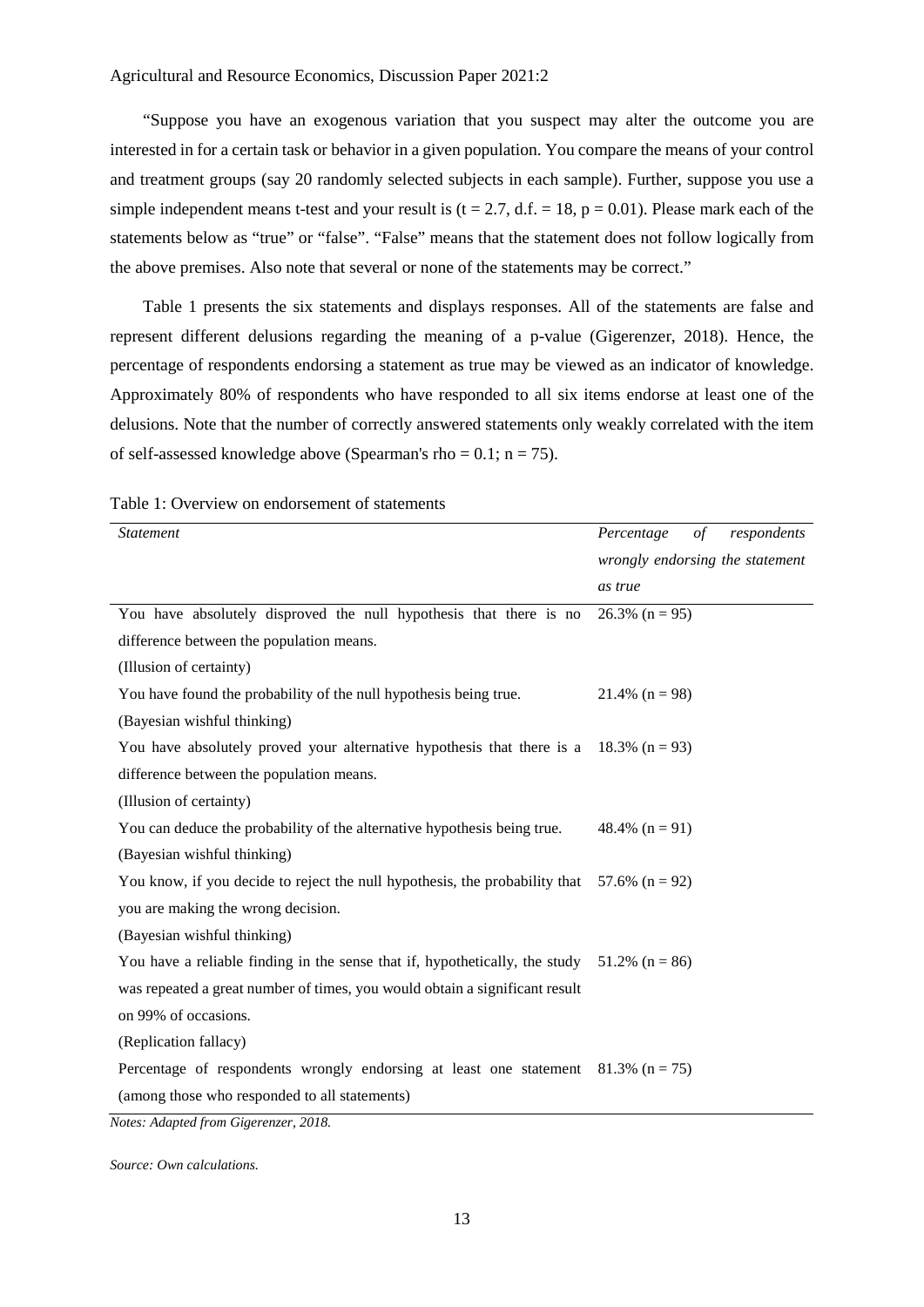"Suppose you have an exogenous variation that you suspect may alter the outcome you are interested in for a certain task or behavior in a given population. You compare the means of your control and treatment groups (say 20 randomly selected subjects in each sample). Further, suppose you use a simple independent means t-test and your result is ( $t = 2.7$ , d.f. = 18,  $p = 0.01$ ). Please mark each of the statements below as "true" or "false". "False" means that the statement does not follow logically from the above premises. Also note that several or none of the statements may be correct."

[Table 1](#page-13-0) presents the six statements and displays responses. All of the statements are false and represent different delusions regarding the meaning of a p-value (Gigerenzer, 2018). Hence, the percentage of respondents endorsing a statement as true may be viewed as an indicator of knowledge. Approximately 80% of respondents who have responded to all six items endorse at least one of the delusions. Note that the number of correctly answered statements only weakly correlated with the item of self-assessed knowledge above (Spearman's rho =  $0.1$ ; n = 75).

| <b>Statement</b>                                                                               | Percentage<br>$\sigma f$<br>respondents |
|------------------------------------------------------------------------------------------------|-----------------------------------------|
|                                                                                                | wrongly endorsing the statement         |
|                                                                                                | as true                                 |
| You have absolutely disproved the null hypothesis that there is no                             | $26.3\%$ (n = 95)                       |
| difference between the population means.                                                       |                                         |
| (Illusion of certainty)                                                                        |                                         |
| You have found the probability of the null hypothesis being true.                              | 21.4% $(n = 98)$                        |
| (Bayesian wishful thinking)                                                                    |                                         |
| You have absolutely proved your alternative hypothesis that there is a 18.3% $(n = 93)$        |                                         |
| difference between the population means.                                                       |                                         |
| (Illusion of certainty)                                                                        |                                         |
| You can deduce the probability of the alternative hypothesis being true.                       | 48.4% $(n = 91)$                        |
| (Bayesian wishful thinking)                                                                    |                                         |
| You know, if you decide to reject the null hypothesis, the probability that 57.6% ( $n = 92$ ) |                                         |
| you are making the wrong decision.                                                             |                                         |
| (Bayesian wishful thinking)                                                                    |                                         |
| You have a reliable finding in the sense that if, hypothetically, the study 51.2% ( $n = 86$ ) |                                         |
| was repeated a great number of times, you would obtain a significant result                    |                                         |
| on 99% of occasions.                                                                           |                                         |
| (Replication fallacy)                                                                          |                                         |
| Percentage of respondents wrongly endorsing at least one statement $81.3\%$ (n = 75)           |                                         |
| (among those who responded to all statements)                                                  |                                         |
| Motor, Adapted from Cicoronzon, 2018                                                           |                                         |

<span id="page-13-0"></span>

|  | Table 1: Overview on endorsement of statements |
|--|------------------------------------------------|
|--|------------------------------------------------|

*Notes: Adapted from Gigerenzer, 2018.*

*Source: Own calculations.*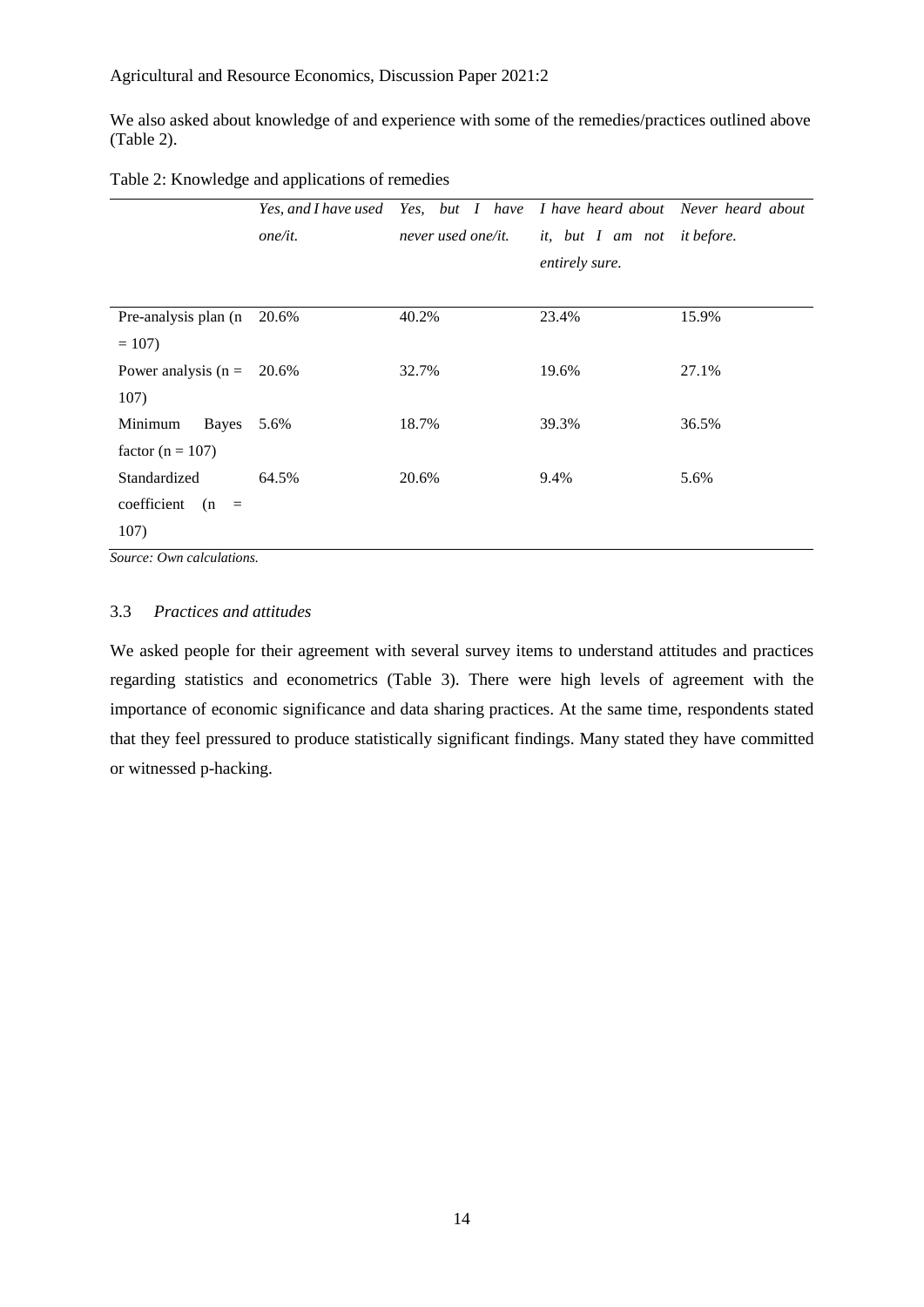We also asked about knowledge of and experience with some of the remedies/practices outlined above [\(Table 2\)](#page-14-0).

<span id="page-14-0"></span>Table 2: Knowledge and applications of remedies

|                       |         | Yes, and I have used Yes, but I have I have heard about Never heard about |                |                   |  |
|-----------------------|---------|---------------------------------------------------------------------------|----------------|-------------------|--|
|                       | one/it. | never used one/it.<br><i>it</i> , <i>but</i> I am not                     |                | <i>it before.</i> |  |
|                       |         |                                                                           | entirely sure. |                   |  |
|                       |         |                                                                           |                |                   |  |
| Pre-analysis plan (n  | 20.6%   | 40.2%                                                                     | 23.4%          | 15.9%             |  |
| $= 107$               |         |                                                                           |                |                   |  |
| Power analysis $(n =$ | 20.6%   | 32.7%                                                                     | 19.6%          | 27.1%             |  |
| 107)                  |         |                                                                           |                |                   |  |
| Bayes<br>Minimum      | 5.6%    | 18.7%                                                                     | 39.3%          | 36.5%             |  |
| factor ( $n = 107$ )  |         |                                                                           |                |                   |  |
| Standardized          | 64.5%   | 20.6%                                                                     | 9.4%           | 5.6%              |  |
| coefficient<br>$(n =$ |         |                                                                           |                |                   |  |
| 107)                  |         |                                                                           |                |                   |  |

*Source: Own calculations.*

# 3.3 *Practices and attitudes*

We asked people for their agreement with several survey items to understand attitudes and practices regarding statistics and econometrics [\(Table 3\)](#page-15-0). There were high levels of agreement with the importance of economic significance and data sharing practices. At the same time, respondents stated that they feel pressured to produce statistically significant findings. Many stated they have committed or witnessed p-hacking.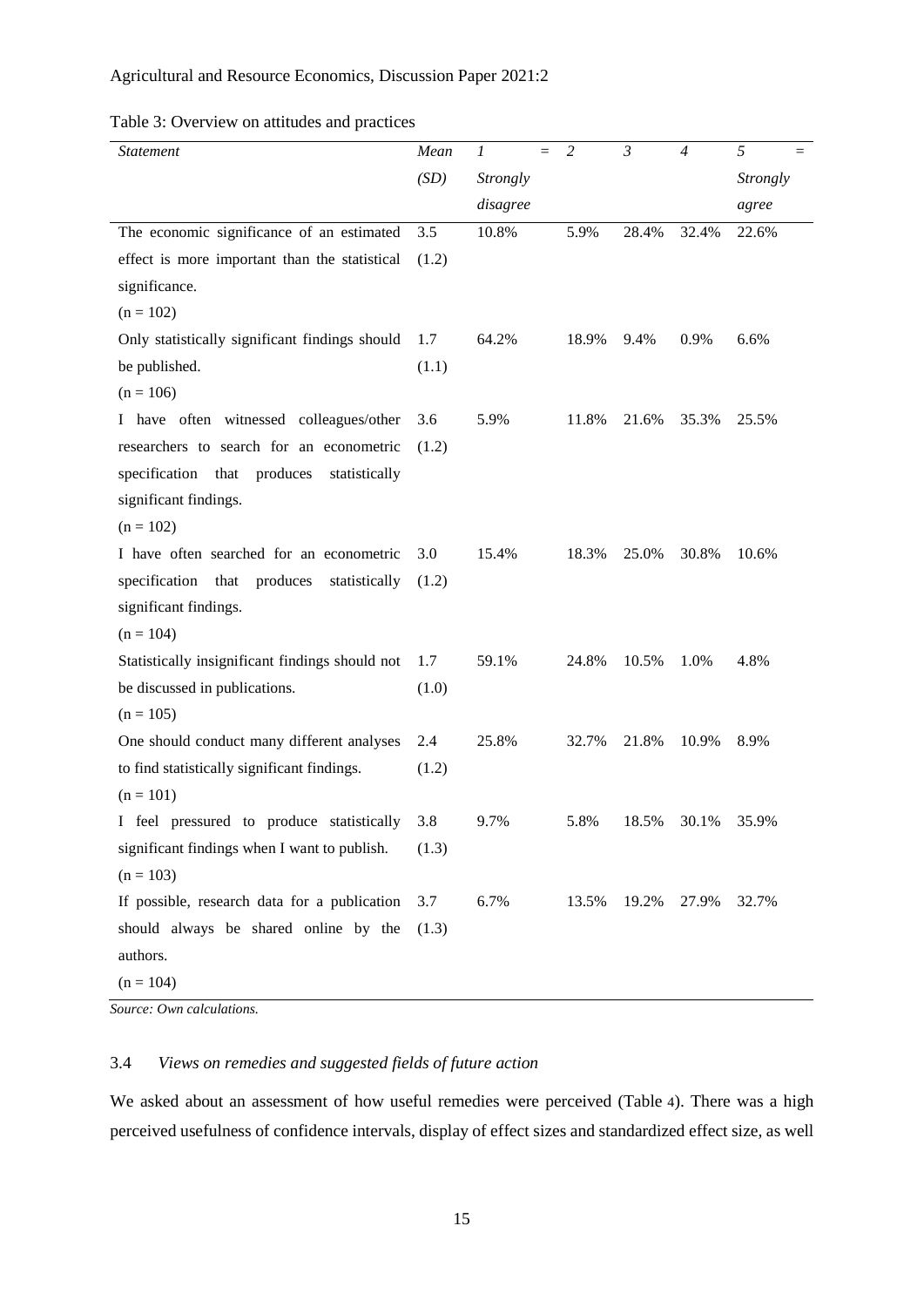# Agricultural and Resource Economics, Discussion Paper 2021:2

<span id="page-15-0"></span>

|  | Table 3: Overview on attitudes and practices |  |
|--|----------------------------------------------|--|
|  |                                              |  |

| <b>Statement</b>                                   | Mean  | $\mathfrak{1}$<br>$=$ | $\overline{2}$ | $\mathfrak{Z}$ | $\overline{4}$ | 5<br>$=$ |
|----------------------------------------------------|-------|-----------------------|----------------|----------------|----------------|----------|
|                                                    | (SD)  | <b>Strongly</b>       |                |                |                | Strongly |
|                                                    |       | disagree              |                |                |                | agree    |
| The economic significance of an estimated          | 3.5   | 10.8%                 | 5.9%           | 28.4%          | 32.4%          | 22.6%    |
| effect is more important than the statistical      | (1.2) |                       |                |                |                |          |
| significance.                                      |       |                       |                |                |                |          |
| $(n = 102)$                                        |       |                       |                |                |                |          |
| Only statistically significant findings should     | 1.7   | 64.2%                 | 18.9%          | 9.4%           | 0.9%           | 6.6%     |
| be published.                                      | (1.1) |                       |                |                |                |          |
| $(n = 106)$                                        |       |                       |                |                |                |          |
| I have often witnessed colleagues/other            | 3.6   | 5.9%                  | 11.8%          | 21.6%          | 35.3%          | 25.5%    |
| researchers to search for an econometric           | (1.2) |                       |                |                |                |          |
| specification that<br>produces<br>statistically    |       |                       |                |                |                |          |
| significant findings.                              |       |                       |                |                |                |          |
| $(n = 102)$                                        |       |                       |                |                |                |          |
| I have often searched for an econometric           | 3.0   | 15.4%                 | 18.3%          | 25.0%          | 30.8%          | 10.6%    |
| specification<br>that<br>produces<br>statistically | (1.2) |                       |                |                |                |          |
| significant findings.                              |       |                       |                |                |                |          |
| $(n = 104)$                                        |       |                       |                |                |                |          |
| Statistically insignificant findings should not    | 1.7   | 59.1%                 | 24.8%          | 10.5%          | 1.0%           | 4.8%     |
| be discussed in publications.                      | (1.0) |                       |                |                |                |          |
| $(n = 105)$                                        |       |                       |                |                |                |          |
| One should conduct many different analyses         | 2.4   | 25.8%                 | 32.7%          | 21.8%          | 10.9%          | 8.9%     |
| to find statistically significant findings.        | (1.2) |                       |                |                |                |          |
| $(n = 101)$                                        |       |                       |                |                |                |          |
| I feel pressured to produce statistically          | 3.8   | 9.7%                  | 5.8%           | 18.5%          | 30.1%          | 35.9%    |
| significant findings when I want to publish.       | (1.3) |                       |                |                |                |          |
| $(n = 103)$                                        |       |                       |                |                |                |          |
| If possible, research data for a publication       | 3.7   | 6.7%                  | 13.5%          | 19.2%          | 27.9%          | 32.7%    |
| should always be shared online by the              | (1.3) |                       |                |                |                |          |
| authors.                                           |       |                       |                |                |                |          |
| $(n = 104)$                                        |       |                       |                |                |                |          |

*Source: Own calculations.*

# 3.4 *Views on remedies and suggested fields of future action*

We asked about an assessment of how useful remedies were perceived [\(Table](#page-16-0) 4). There was a high perceived usefulness of confidence intervals, display of effect sizes and standardized effect size, as well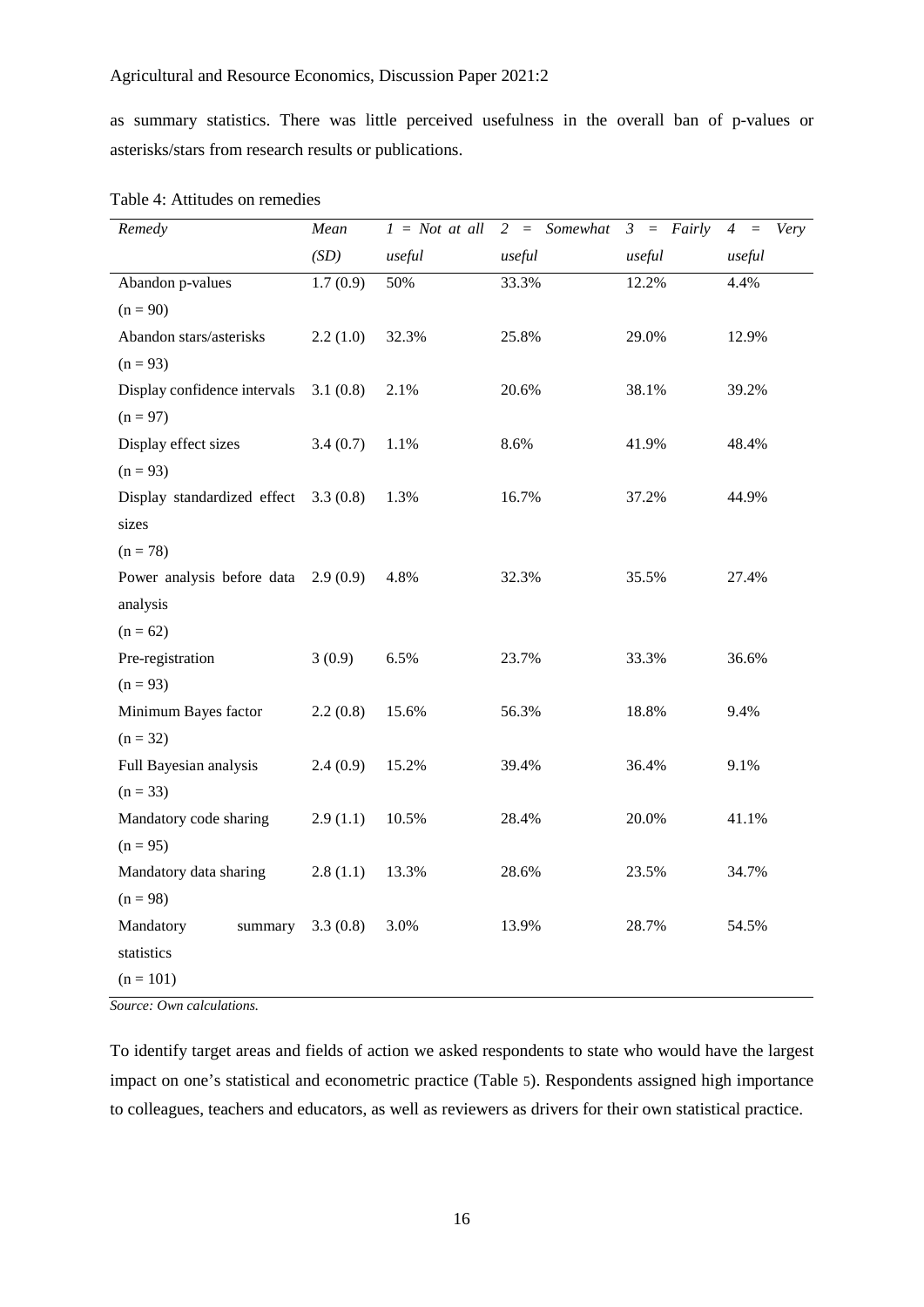as summary statistics. There was little perceived usefulness in the overall ban of p-values or asterisks/stars from research results or publications.

| Remedy                       | Mean     | $1 = Not$ at all | Somewhat<br>$2 =$ | Fairly<br>$3 =$ | Very<br>$\overline{4}$<br>$\equiv$ |
|------------------------------|----------|------------------|-------------------|-----------------|------------------------------------|
|                              | (SD)     | useful           | useful            | useful          | useful                             |
| Abandon p-values             | 1.7(0.9) | 50%              | 33.3%             | 12.2%           | 4.4%                               |
| $(n = 90)$                   |          |                  |                   |                 |                                    |
| Abandon stars/asterisks      | 2.2(1.0) | 32.3%            | 25.8%             | 29.0%           | 12.9%                              |
| $(n = 93)$                   |          |                  |                   |                 |                                    |
| Display confidence intervals | 3.1(0.8) | 2.1%             | 20.6%             | 38.1%           | 39.2%                              |
| $(n = 97)$                   |          |                  |                   |                 |                                    |
| Display effect sizes         | 3.4(0.7) | 1.1%             | 8.6%              | 41.9%           | 48.4%                              |
| $(n = 93)$                   |          |                  |                   |                 |                                    |
| Display standardized effect  | 3.3(0.8) | 1.3%             | 16.7%             | 37.2%           | 44.9%                              |
| sizes                        |          |                  |                   |                 |                                    |
| $(n = 78)$                   |          |                  |                   |                 |                                    |
| Power analysis before data   | 2.9(0.9) | 4.8%             | 32.3%             | 35.5%           | 27.4%                              |
| analysis                     |          |                  |                   |                 |                                    |
| $(n = 62)$                   |          |                  |                   |                 |                                    |
| Pre-registration             | 3(0.9)   | 6.5%             | 23.7%             | 33.3%           | 36.6%                              |
| $(n = 93)$                   |          |                  |                   |                 |                                    |
| Minimum Bayes factor         | 2.2(0.8) | 15.6%            | 56.3%             | 18.8%           | 9.4%                               |
| $(n = 32)$                   |          |                  |                   |                 |                                    |
| Full Bayesian analysis       | 2.4(0.9) | 15.2%            | 39.4%             | 36.4%           | 9.1%                               |
| $(n = 33)$                   |          |                  |                   |                 |                                    |
| Mandatory code sharing       | 2.9(1.1) | 10.5%            | 28.4%             | 20.0%           | 41.1%                              |
| $(n = 95)$                   |          |                  |                   |                 |                                    |
| Mandatory data sharing       | 2.8(1.1) | 13.3%            | 28.6%             | 23.5%           | 34.7%                              |
| $(n = 98)$                   |          |                  |                   |                 |                                    |
| Mandatory<br>summary         | 3.3(0.8) | 3.0%             | 13.9%             | 28.7%           | 54.5%                              |
| statistics                   |          |                  |                   |                 |                                    |
| $(n = 101)$                  |          |                  |                   |                 |                                    |

<span id="page-16-0"></span>Table 4: Attitudes on remedies

*Source: Own calculations.*

<span id="page-16-1"></span>To identify target areas and fields of action we asked respondents to state who would have the largest impact on one's statistical and econometric practice [\(Table 5\)](#page-16-1). Respondents assigned high importance to colleagues, teachers and educators, as well as reviewers as drivers for their own statistical practice.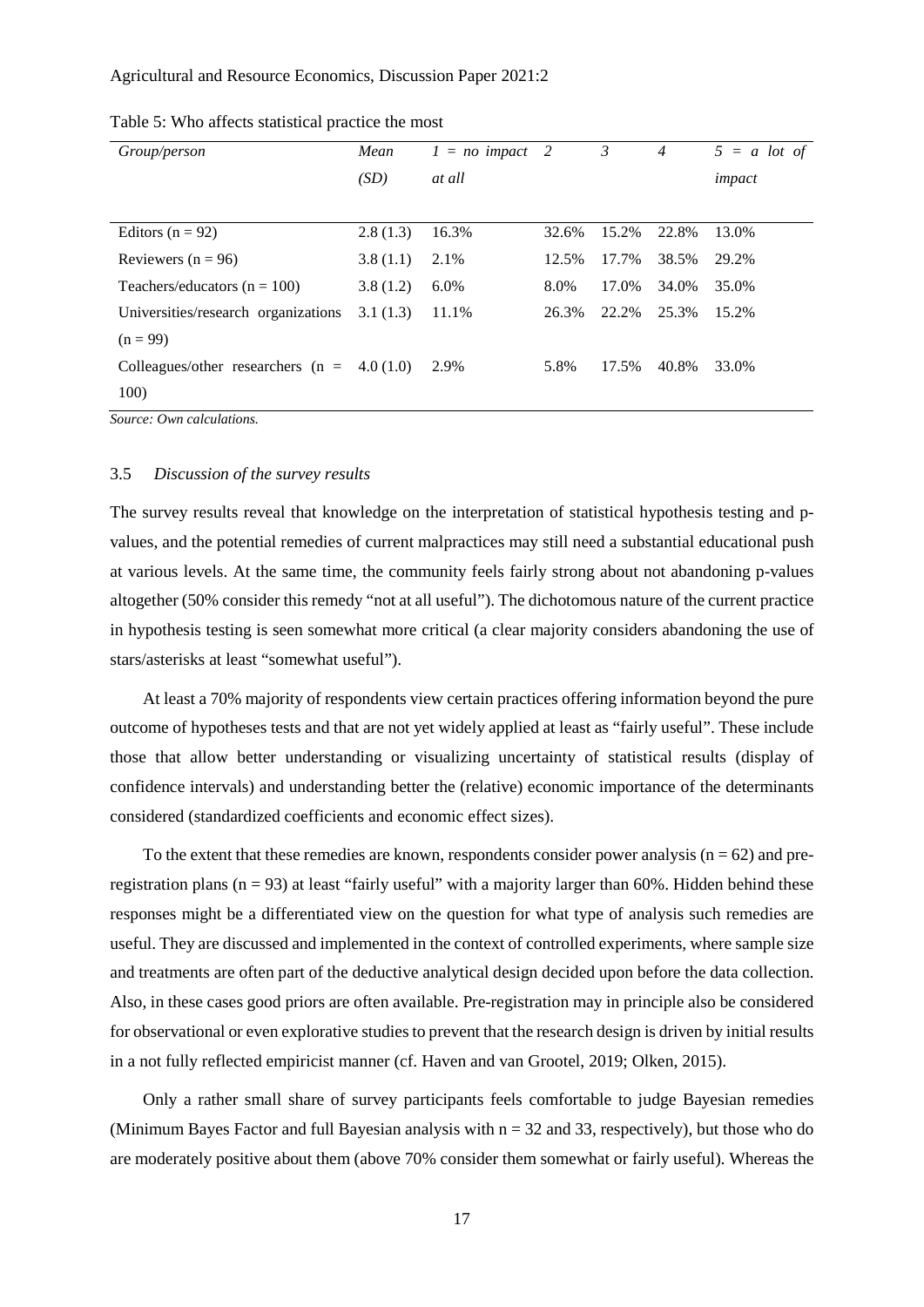# Agricultural and Resource Economics, Discussion Paper 2021:2

| Group/person                        | Mean     | $1 = no impact$ | 2     | 3     | $\overline{4}$ | $5 = a$ lot of |
|-------------------------------------|----------|-----------------|-------|-------|----------------|----------------|
|                                     | (SD)     | at all          |       |       |                | impact         |
|                                     |          |                 |       |       |                |                |
| Editors $(n = 92)$                  | 2.8(1.3) | 16.3%           | 32.6% | 15.2% | 22.8%          | 13.0%          |
| Reviewers $(n = 96)$                | 3.8(1.1) | 2.1%            | 12.5% | 17.7% | 38.5%          | 29.2%          |
| Teachers/educators ( $n = 100$ )    | 3.8(1.2) | 6.0%            | 8.0%  | 17.0% | 34.0%          | 35.0%          |
| Universities/research organizations | 3.1(1.3) | 11.1%           | 26.3% | 22.2% | 25.3%          | 15.2%          |
| $(n = 99)$                          |          |                 |       |       |                |                |
| Colleagues/other researchers $(n =$ | 4.0(1.0) | 2.9%            | 5.8%  | 17.5% | 40.8%          | 33.0%          |
| 100)                                |          |                 |       |       |                |                |
|                                     |          |                 |       |       |                |                |

Table 5: Who affects statistical practice the most

*Source: Own calculations.*

### 3.5 *Discussion of the survey results*

The survey results reveal that knowledge on the interpretation of statistical hypothesis testing and pvalues, and the potential remedies of current malpractices may still need a substantial educational push at various levels. At the same time, the community feels fairly strong about not abandoning p-values altogether (50% consider this remedy "not at all useful"). The dichotomous nature of the current practice in hypothesis testing is seen somewhat more critical (a clear majority considers abandoning the use of stars/asterisks at least "somewhat useful").

At least a 70% majority of respondents view certain practices offering information beyond the pure outcome of hypotheses tests and that are not yet widely applied at least as "fairly useful". These include those that allow better understanding or visualizing uncertainty of statistical results (display of confidence intervals) and understanding better the (relative) economic importance of the determinants considered (standardized coefficients and economic effect sizes).

To the extent that these remedies are known, respondents consider power analysis ( $n = 62$ ) and preregistration plans ( $n = 93$ ) at least "fairly useful" with a majority larger than 60%. Hidden behind these responses might be a differentiated view on the question for what type of analysis such remedies are useful. They are discussed and implemented in the context of controlled experiments, where sample size and treatments are often part of the deductive analytical design decided upon before the data collection. Also, in these cases good priors are often available. Pre-registration may in principle also be considered for observational or even explorative studies to prevent that the research design is driven by initial results in a not fully reflected empiricist manner (cf. Haven and van Grootel, 2019; Olken, 2015).

Only a rather small share of survey participants feels comfortable to judge Bayesian remedies (Minimum Bayes Factor and full Bayesian analysis with  $n = 32$  and 33, respectively), but those who do are moderately positive about them (above 70% consider them somewhat or fairly useful). Whereas the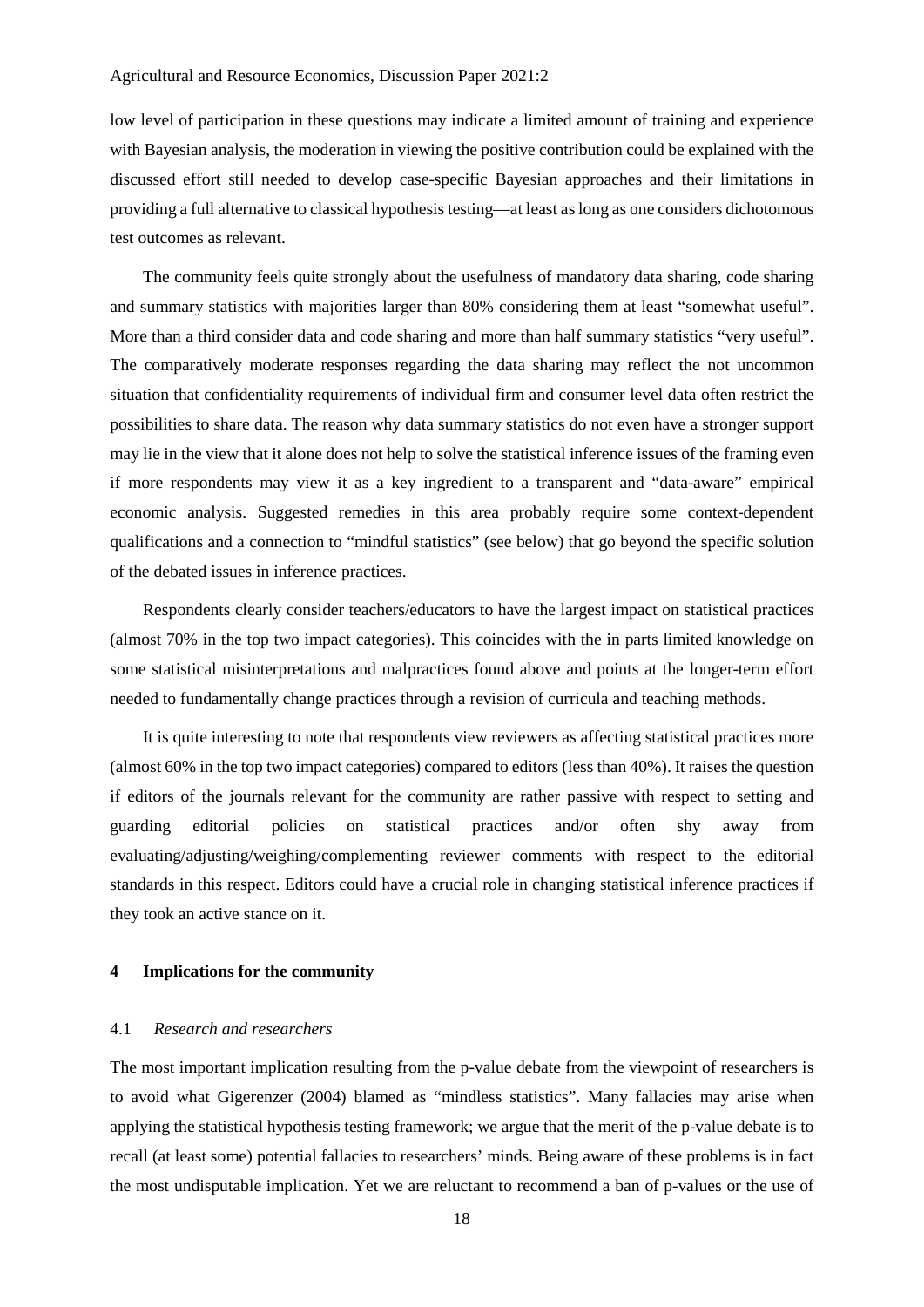low level of participation in these questions may indicate a limited amount of training and experience with Bayesian analysis, the moderation in viewing the positive contribution could be explained with the discussed effort still needed to develop case-specific Bayesian approaches and their limitations in providing a full alternative to classical hypothesis testing—at least as long as one considers dichotomous test outcomes as relevant.

The community feels quite strongly about the usefulness of mandatory data sharing, code sharing and summary statistics with majorities larger than 80% considering them at least "somewhat useful". More than a third consider data and code sharing and more than half summary statistics "very useful". The comparatively moderate responses regarding the data sharing may reflect the not uncommon situation that confidentiality requirements of individual firm and consumer level data often restrict the possibilities to share data. The reason why data summary statistics do not even have a stronger support may lie in the view that it alone does not help to solve the statistical inference issues of the framing even if more respondents may view it as a key ingredient to a transparent and "data-aware" empirical economic analysis. Suggested remedies in this area probably require some context-dependent qualifications and a connection to "mindful statistics" (see below) that go beyond the specific solution of the debated issues in inference practices.

Respondents clearly consider teachers/educators to have the largest impact on statistical practices (almost 70% in the top two impact categories). This coincides with the in parts limited knowledge on some statistical misinterpretations and malpractices found above and points at the longer-term effort needed to fundamentally change practices through a revision of curricula and teaching methods.

It is quite interesting to note that respondents view reviewers as affecting statistical practices more (almost 60% in the top two impact categories) compared to editors (less than 40%). It raises the question if editors of the journals relevant for the community are rather passive with respect to setting and guarding editorial policies on statistical practices and/or often shy away from evaluating/adjusting/weighing/complementing reviewer comments with respect to the editorial standards in this respect. Editors could have a crucial role in changing statistical inference practices if they took an active stance on it.

#### **4 Implications for the community**

# 4.1 *Research and researchers*

The most important implication resulting from the p-value debate from the viewpoint of researchers is to avoid what Gigerenzer (2004) blamed as "mindless statistics". Many fallacies may arise when applying the statistical hypothesis testing framework; we argue that the merit of the p-value debate is to recall (at least some) potential fallacies to researchers' minds. Being aware of these problems is in fact the most undisputable implication. Yet we are reluctant to recommend a ban of p-values or the use of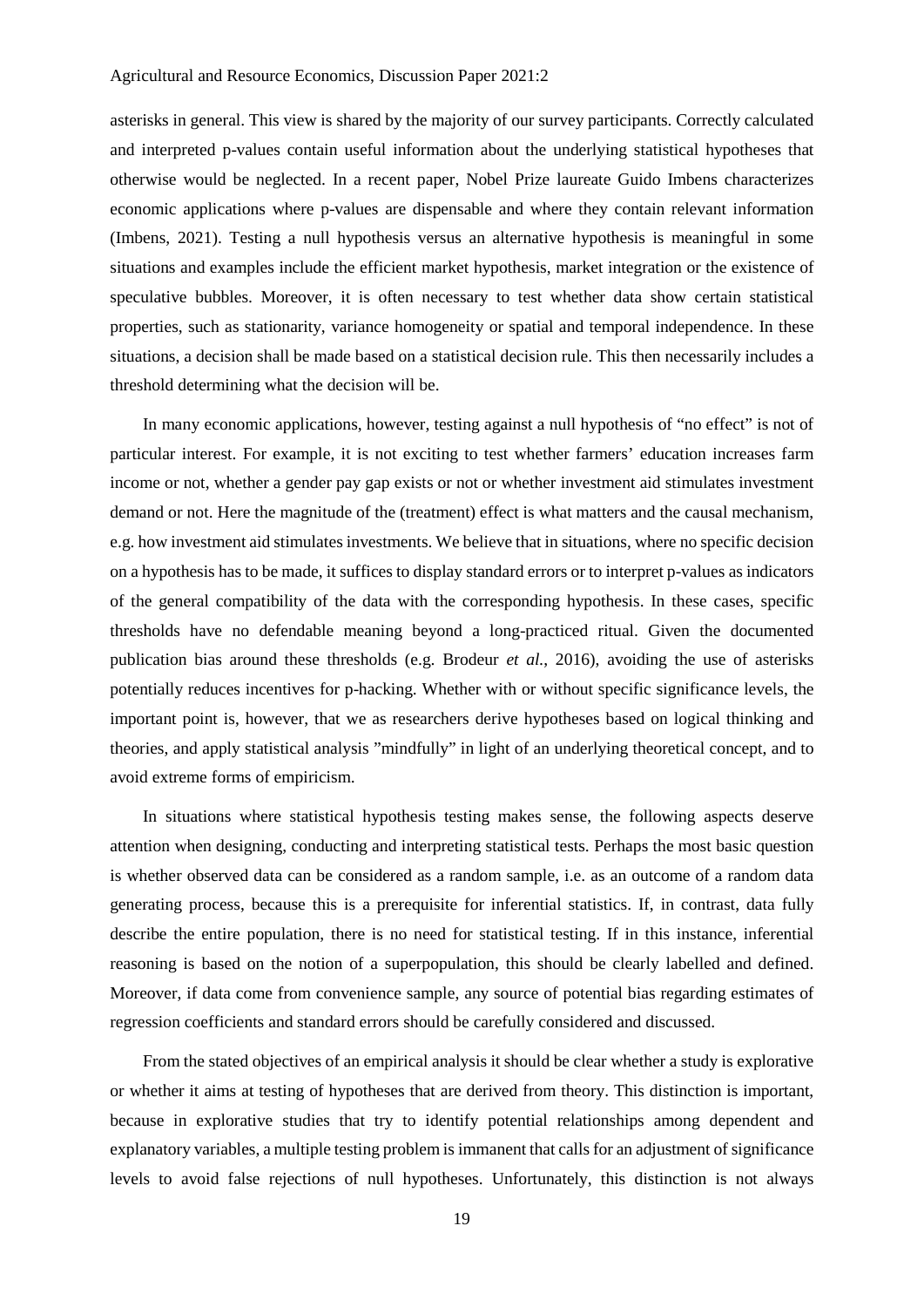asterisks in general. This view is shared by the majority of our survey participants. Correctly calculated and interpreted p-values contain useful information about the underlying statistical hypotheses that otherwise would be neglected. In a recent paper, Nobel Prize laureate Guido Imbens characterizes economic applications where p-values are dispensable and where they contain relevant information (Imbens, 2021). Testing a null hypothesis versus an alternative hypothesis is meaningful in some situations and examples include the efficient market hypothesis, market integration or the existence of speculative bubbles. Moreover, it is often necessary to test whether data show certain statistical properties, such as stationarity, variance homogeneity or spatial and temporal independence. In these situations, a decision shall be made based on a statistical decision rule. This then necessarily includes a threshold determining what the decision will be.

In many economic applications, however, testing against a null hypothesis of "no effect" is not of particular interest. For example, it is not exciting to test whether farmers' education increases farm income or not, whether a gender pay gap exists or not or whether investment aid stimulates investment demand or not. Here the magnitude of the (treatment) effect is what matters and the causal mechanism, e.g. how investment aid stimulates investments. We believe that in situations, where no specific decision on a hypothesis has to be made, it suffices to display standard errors or to interpret p-values as indicators of the general compatibility of the data with the corresponding hypothesis. In these cases, specific thresholds have no defendable meaning beyond a long-practiced ritual. Given the documented publication bias around these thresholds (e.g. Brodeur *et al.*, 2016), avoiding the use of asterisks potentially reduces incentives for p-hacking. Whether with or without specific significance levels, the important point is, however, that we as researchers derive hypotheses based on logical thinking and theories, and apply statistical analysis "mindfully" in light of an underlying theoretical concept, and to avoid extreme forms of empiricism.

In situations where statistical hypothesis testing makes sense, the following aspects deserve attention when designing, conducting and interpreting statistical tests. Perhaps the most basic question is whether observed data can be considered as a random sample, i.e. as an outcome of a random data generating process, because this is a prerequisite for inferential statistics. If, in contrast, data fully describe the entire population, there is no need for statistical testing. If in this instance, inferential reasoning is based on the notion of a superpopulation, this should be clearly labelled and defined. Moreover, if data come from convenience sample, any source of potential bias regarding estimates of regression coefficients and standard errors should be carefully considered and discussed.

From the stated objectives of an empirical analysis it should be clear whether a study is explorative or whether it aims at testing of hypotheses that are derived from theory. This distinction is important, because in explorative studies that try to identify potential relationships among dependent and explanatory variables, a multiple testing problem is immanent that calls for an adjustment of significance levels to avoid false rejections of null hypotheses. Unfortunately, this distinction is not always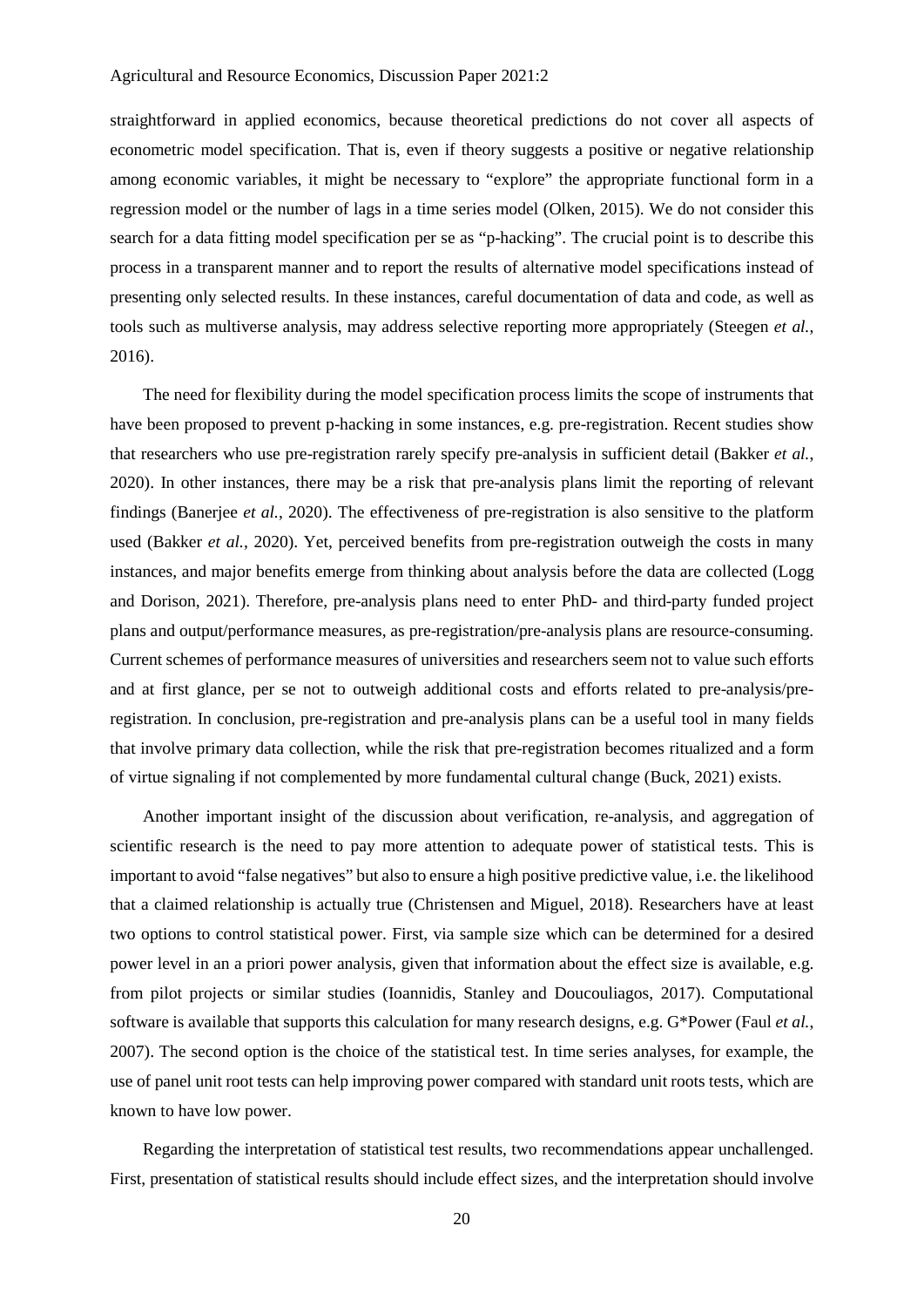straightforward in applied economics, because theoretical predictions do not cover all aspects of econometric model specification. That is, even if theory suggests a positive or negative relationship among economic variables, it might be necessary to "explore" the appropriate functional form in a regression model or the number of lags in a time series model (Olken, 2015). We do not consider this search for a data fitting model specification per se as "p-hacking". The crucial point is to describe this process in a transparent manner and to report the results of alternative model specifications instead of presenting only selected results. In these instances, careful documentation of data and code, as well as tools such as multiverse analysis, may address selective reporting more appropriately (Steegen *et al.*, 2016).

The need for flexibility during the model specification process limits the scope of instruments that have been proposed to prevent p-hacking in some instances, e.g. pre-registration. Recent studies show that researchers who use pre-registration rarely specify pre-analysis in sufficient detail (Bakker *et al.*, 2020). In other instances, there may be a risk that pre-analysis plans limit the reporting of relevant findings (Banerjee *et al.*, 2020). The effectiveness of pre-registration is also sensitive to the platform used (Bakker *et al.*, 2020). Yet, perceived benefits from pre-registration outweigh the costs in many instances, and major benefits emerge from thinking about analysis before the data are collected (Logg and Dorison, 2021). Therefore, pre-analysis plans need to enter PhD- and third-party funded project plans and output/performance measures, as pre-registration/pre-analysis plans are resource-consuming. Current schemes of performance measures of universities and researchers seem not to value such efforts and at first glance, per se not to outweigh additional costs and efforts related to pre-analysis/preregistration. In conclusion, pre-registration and pre-analysis plans can be a useful tool in many fields that involve primary data collection, while the risk that pre-registration becomes ritualized and a form of virtue signaling if not complemented by more fundamental cultural change (Buck, 2021) exists.

Another important insight of the discussion about verification, re-analysis, and aggregation of scientific research is the need to pay more attention to adequate power of statistical tests. This is important to avoid "false negatives" but also to ensure a high positive predictive value, i.e. the likelihood that a claimed relationship is actually true (Christensen and Miguel, 2018). Researchers have at least two options to control statistical power. First, via sample size which can be determined for a desired power level in an a priori power analysis, given that information about the effect size is available, e.g. from pilot projects or similar studies (Ioannidis, Stanley and Doucouliagos, 2017). Computational software is available that supports this calculation for many research designs, e.g. G\*Power (Faul *et al.*, 2007). The second option is the choice of the statistical test. In time series analyses, for example, the use of panel unit root tests can help improving power compared with standard unit roots tests, which are known to have low power.

Regarding the interpretation of statistical test results, two recommendations appear unchallenged. First, presentation of statistical results should include effect sizes, and the interpretation should involve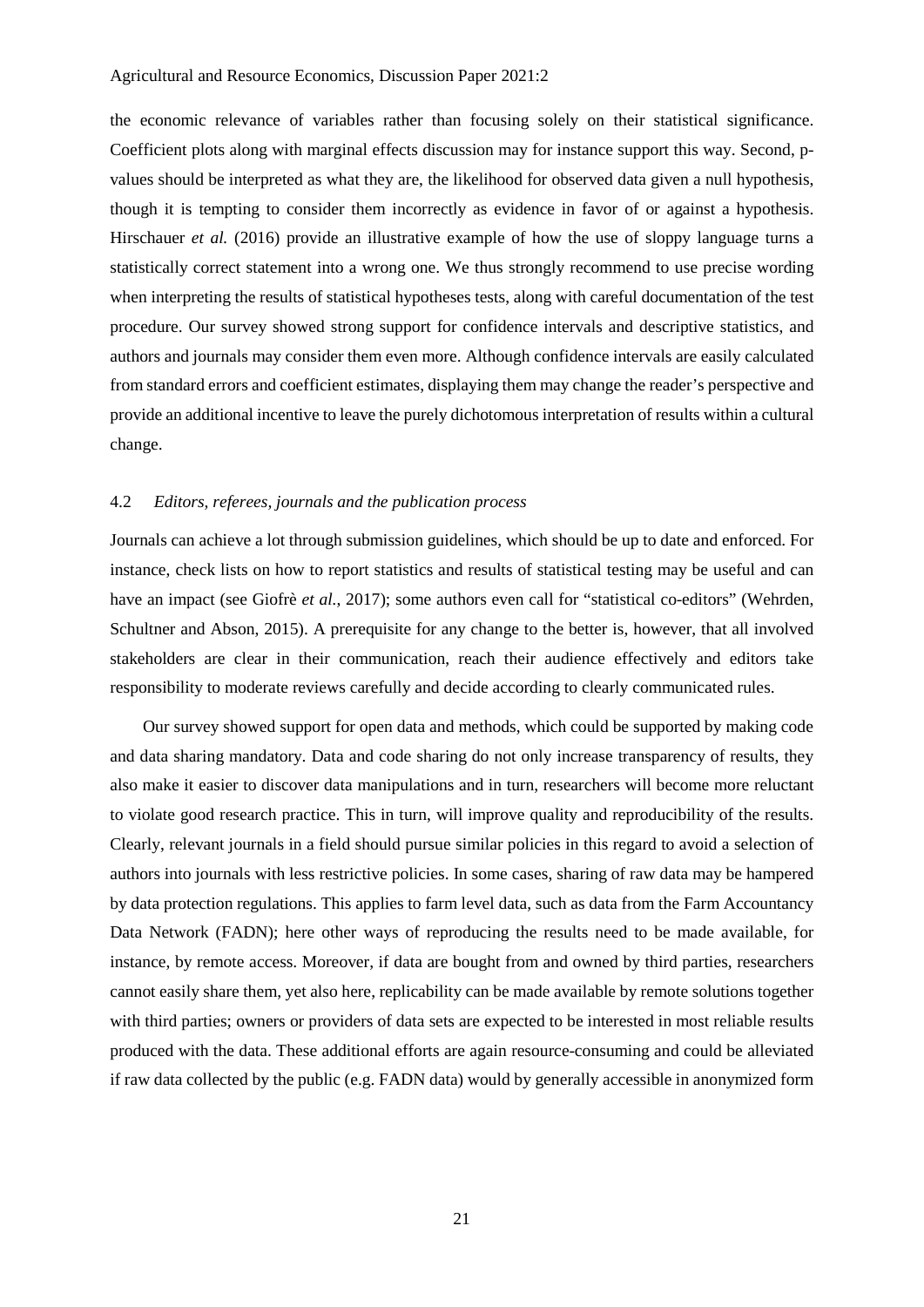the economic relevance of variables rather than focusing solely on their statistical significance. Coefficient plots along with marginal effects discussion may for instance support this way. Second, pvalues should be interpreted as what they are, the likelihood for observed data given a null hypothesis, though it is tempting to consider them incorrectly as evidence in favor of or against a hypothesis. Hirschauer *et al.* (2016) provide an illustrative example of how the use of sloppy language turns a statistically correct statement into a wrong one. We thus strongly recommend to use precise wording when interpreting the results of statistical hypotheses tests, along with careful documentation of the test procedure. Our survey showed strong support for confidence intervals and descriptive statistics, and authors and journals may consider them even more. Although confidence intervals are easily calculated from standard errors and coefficient estimates, displaying them may change the reader's perspective and provide an additional incentive to leave the purely dichotomous interpretation of results within a cultural change.

# 4.2 *Editors, referees, journals and the publication process*

Journals can achieve a lot through submission guidelines, which should be up to date and enforced. For instance, check lists on how to report statistics and results of statistical testing may be useful and can have an impact (see Giofrè *et al.*, 2017); some authors even call for "statistical co-editors" (Wehrden, Schultner and Abson, 2015). A prerequisite for any change to the better is, however, that all involved stakeholders are clear in their communication, reach their audience effectively and editors take responsibility to moderate reviews carefully and decide according to clearly communicated rules.

Our survey showed support for open data and methods, which could be supported by making code and data sharing mandatory. Data and code sharing do not only increase transparency of results, they also make it easier to discover data manipulations and in turn, researchers will become more reluctant to violate good research practice. This in turn, will improve quality and reproducibility of the results. Clearly, relevant journals in a field should pursue similar policies in this regard to avoid a selection of authors into journals with less restrictive policies. In some cases, sharing of raw data may be hampered by data protection regulations. This applies to farm level data, such as data from the Farm Accountancy Data Network (FADN); here other ways of reproducing the results need to be made available, for instance, by remote access. Moreover, if data are bought from and owned by third parties, researchers cannot easily share them, yet also here, replicability can be made available by remote solutions together with third parties; owners or providers of data sets are expected to be interested in most reliable results produced with the data. These additional efforts are again resource-consuming and could be alleviated if raw data collected by the public (e.g. FADN data) would by generally accessible in anonymized form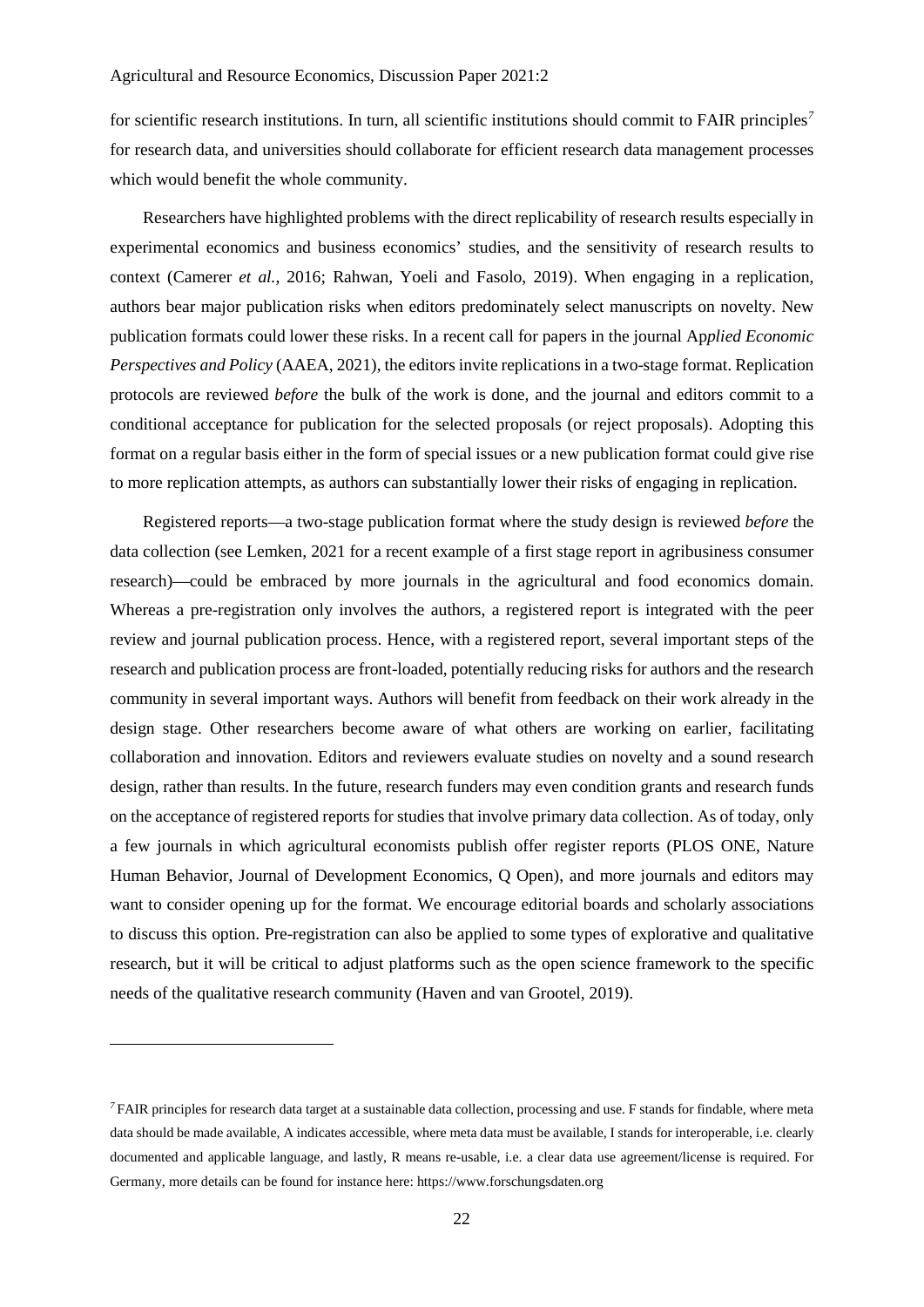for scientific research institutions. In turn, all scientific institutions should commit to FAIR principles*[7](#page-22-0)* for research data, and universities should collaborate for efficient research data management processes which would benefit the whole community.

Researchers have highlighted problems with the direct replicability of research results especially in experimental economics and business economics' studies, and the sensitivity of research results to context (Camerer *et al.*, 2016; Rahwan, Yoeli and Fasolo, 2019). When engaging in a replication, authors bear major publication risks when editors predominately select manuscripts on novelty. New publication formats could lower these risks. In a recent call for papers in the journal Ap*plied Economic Perspectives and Policy* (AAEA, 2021), the editors invite replications in a two-stage format. Replication protocols are reviewed *before* the bulk of the work is done*,* and the journal and editors commit to a conditional acceptance for publication for the selected proposals (or reject proposals). Adopting this format on a regular basis either in the form of special issues or a new publication format could give rise to more replication attempts, as authors can substantially lower their risks of engaging in replication.

Registered reports—a two-stage publication format where the study design is reviewed *before* the data collection (see Lemken, 2021 for a recent example of a first stage report in agribusiness consumer research)—could be embraced by more journals in the agricultural and food economics domain. Whereas a pre-registration only involves the authors, a registered report is integrated with the peer review and journal publication process. Hence, with a registered report, several important steps of the research and publication process are front-loaded, potentially reducing risks for authors and the research community in several important ways. Authors will benefit from feedback on their work already in the design stage. Other researchers become aware of what others are working on earlier, facilitating collaboration and innovation. Editors and reviewers evaluate studies on novelty and a sound research design, rather than results. In the future, research funders may even condition grants and research funds on the acceptance of registered reports for studies that involve primary data collection. As of today, only a few journals in which agricultural economists publish offer register reports (PLOS ONE, Nature Human Behavior, Journal of Development Economics, Q Open), and more journals and editors may want to consider opening up for the format. We encourage editorial boards and scholarly associations to discuss this option. Pre-registration can also be applied to some types of explorative and qualitative research, but it will be critical to adjust platforms such as the open science framework to the specific needs of the qualitative research community (Haven and van Grootel, 2019).

-

<span id="page-22-0"></span>*<sup>7</sup>* FAIR principles for research data target at a sustainable data collection, processing and use. F stands for findable, where meta data should be made available, A indicates accessible, where meta data must be available, I stands for interoperable, i.e. clearly documented and applicable language, and lastly, R means re-usable, i.e. a clear data use agreement/license is required. For Germany, more details can be found for instance here: [https://www.forschungsdaten.org](https://www.forschungsdaten.org/)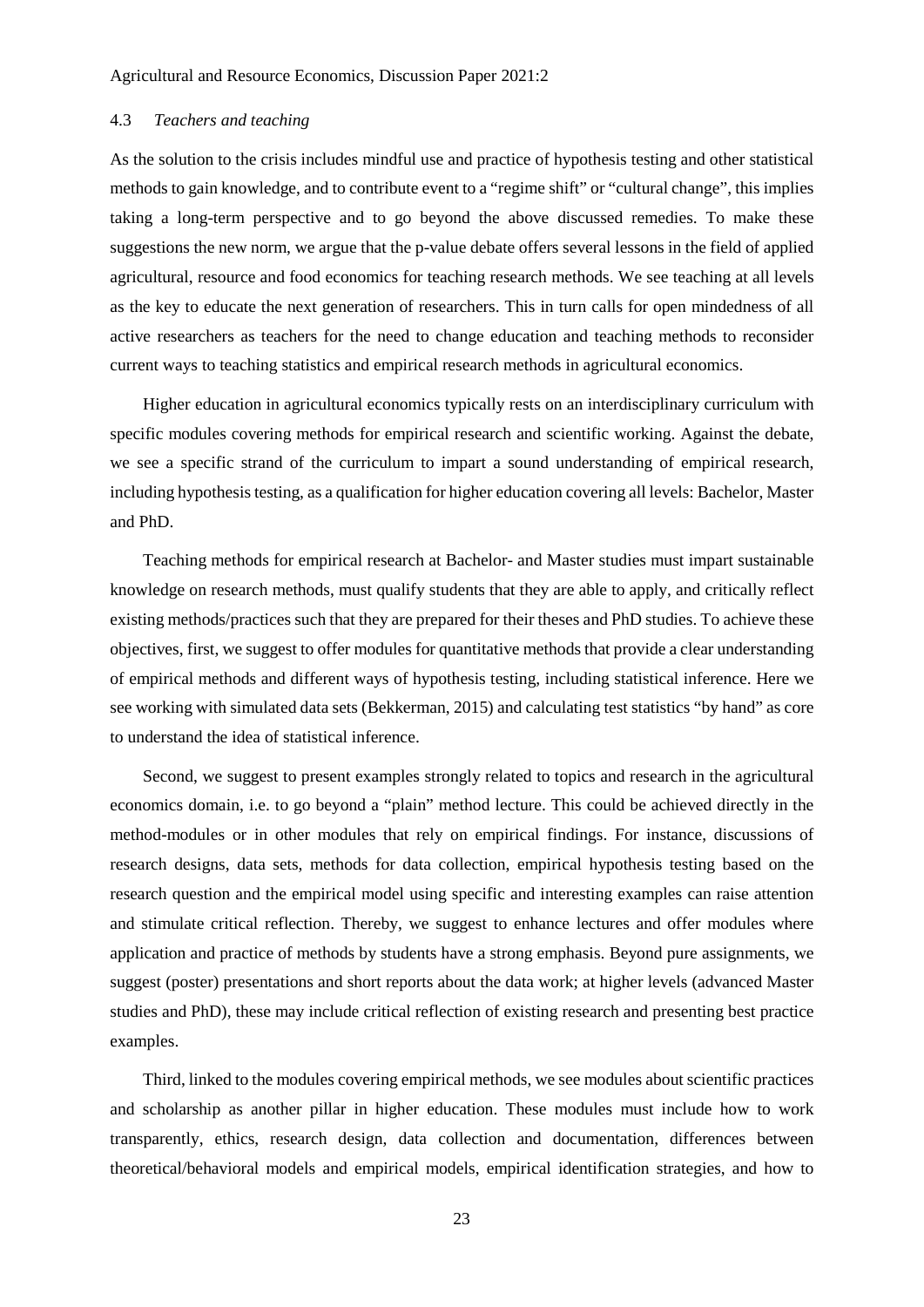# 4.3 *Teachers and teaching*

As the solution to the crisis includes mindful use and practice of hypothesis testing and other statistical methods to gain knowledge, and to contribute event to a "regime shift" or "cultural change", this implies taking a long-term perspective and to go beyond the above discussed remedies. To make these suggestions the new norm, we argue that the p-value debate offers several lessons in the field of applied agricultural, resource and food economics for teaching research methods. We see teaching at all levels as the key to educate the next generation of researchers. This in turn calls for open mindedness of all active researchers as teachers for the need to change education and teaching methods to reconsider current ways to teaching statistics and empirical research methods in agricultural economics.

Higher education in agricultural economics typically rests on an interdisciplinary curriculum with specific modules covering methods for empirical research and scientific working. Against the debate, we see a specific strand of the curriculum to impart a sound understanding of empirical research, including hypothesis testing, as a qualification for higher education covering all levels: Bachelor, Master and PhD.

Teaching methods for empirical research at Bachelor- and Master studies must impart sustainable knowledge on research methods, must qualify students that they are able to apply, and critically reflect existing methods/practices such that they are prepared for their theses and PhD studies. To achieve these objectives, first, we suggest to offer modules for quantitative methods that provide a clear understanding of empirical methods and different ways of hypothesis testing, including statistical inference. Here we see working with simulated data sets (Bekkerman, 2015) and calculating test statistics "by hand" as core to understand the idea of statistical inference.

Second, we suggest to present examples strongly related to topics and research in the agricultural economics domain, i.e. to go beyond a "plain" method lecture. This could be achieved directly in the method-modules or in other modules that rely on empirical findings. For instance, discussions of research designs, data sets, methods for data collection, empirical hypothesis testing based on the research question and the empirical model using specific and interesting examples can raise attention and stimulate critical reflection. Thereby, we suggest to enhance lectures and offer modules where application and practice of methods by students have a strong emphasis. Beyond pure assignments, we suggest (poster) presentations and short reports about the data work; at higher levels (advanced Master studies and PhD), these may include critical reflection of existing research and presenting best practice examples.

Third, linked to the modules covering empirical methods, we see modules about scientific practices and scholarship as another pillar in higher education. These modules must include how to work transparently, ethics, research design, data collection and documentation, differences between theoretical/behavioral models and empirical models, empirical identification strategies, and how to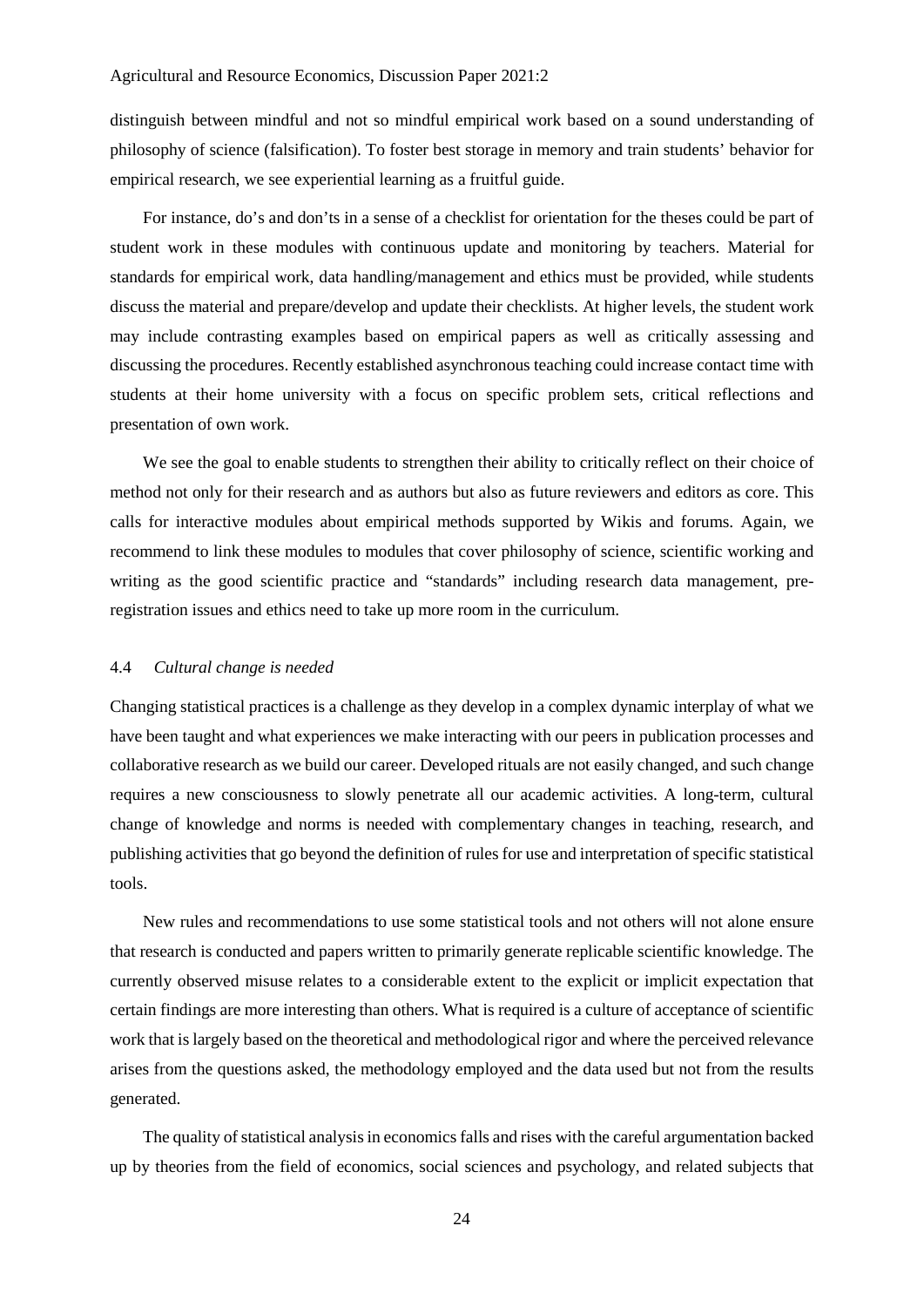distinguish between mindful and not so mindful empirical work based on a sound understanding of philosophy of science (falsification). To foster best storage in memory and train students' behavior for empirical research, we see experiential learning as a fruitful guide.

For instance, do's and don'ts in a sense of a checklist for orientation for the theses could be part of student work in these modules with continuous update and monitoring by teachers. Material for standards for empirical work, data handling/management and ethics must be provided, while students discuss the material and prepare/develop and update their checklists. At higher levels, the student work may include contrasting examples based on empirical papers as well as critically assessing and discussing the procedures. Recently established asynchronous teaching could increase contact time with students at their home university with a focus on specific problem sets, critical reflections and presentation of own work.

We see the goal to enable students to strengthen their ability to critically reflect on their choice of method not only for their research and as authors but also as future reviewers and editors as core. This calls for interactive modules about empirical methods supported by Wikis and forums. Again, we recommend to link these modules to modules that cover philosophy of science, scientific working and writing as the good scientific practice and "standards" including research data management, preregistration issues and ethics need to take up more room in the curriculum.

#### 4.4 *Cultural change is needed*

Changing statistical practices is a challenge as they develop in a complex dynamic interplay of what we have been taught and what experiences we make interacting with our peers in publication processes and collaborative research as we build our career. Developed rituals are not easily changed, and such change requires a new consciousness to slowly penetrate all our academic activities. A long-term, cultural change of knowledge and norms is needed with complementary changes in teaching, research, and publishing activities that go beyond the definition of rules for use and interpretation of specific statistical tools.

New rules and recommendations to use some statistical tools and not others will not alone ensure that research is conducted and papers written to primarily generate replicable scientific knowledge. The currently observed misuse relates to a considerable extent to the explicit or implicit expectation that certain findings are more interesting than others. What is required is a culture of acceptance of scientific work that is largely based on the theoretical and methodological rigor and where the perceived relevance arises from the questions asked, the methodology employed and the data used but not from the results generated.

The quality of statistical analysis in economics falls and rises with the careful argumentation backed up by theories from the field of economics, social sciences and psychology, and related subjects that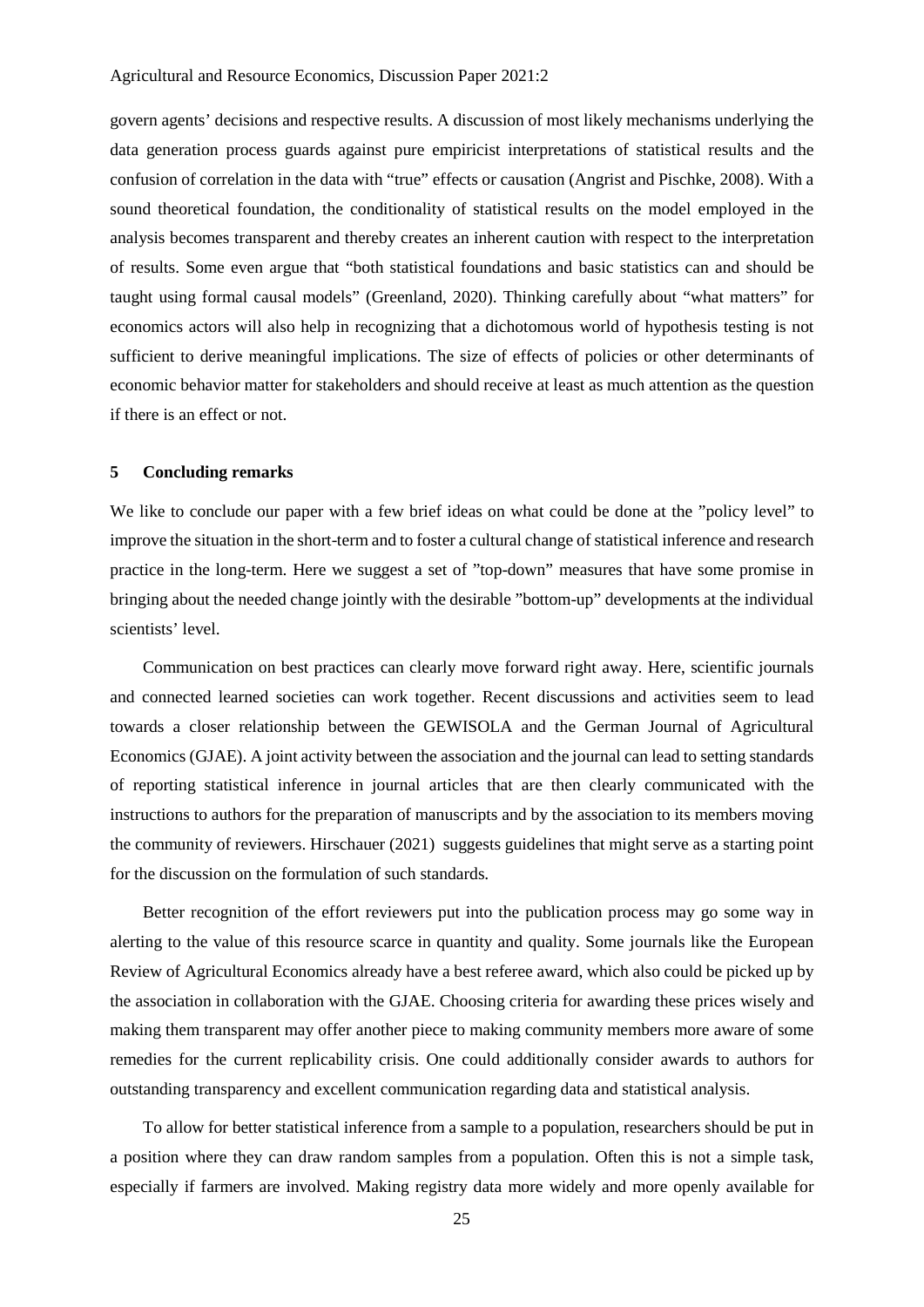govern agents' decisions and respective results. A discussion of most likely mechanisms underlying the data generation process guards against pure empiricist interpretations of statistical results and the confusion of correlation in the data with "true" effects or causation (Angrist and Pischke, 2008). With a sound theoretical foundation, the conditionality of statistical results on the model employed in the analysis becomes transparent and thereby creates an inherent caution with respect to the interpretation of results. Some even argue that "both statistical foundations and basic statistics can and should be taught using formal causal models" (Greenland, 2020). Thinking carefully about "what matters" for economics actors will also help in recognizing that a dichotomous world of hypothesis testing is not sufficient to derive meaningful implications. The size of effects of policies or other determinants of economic behavior matter for stakeholders and should receive at least as much attention as the question if there is an effect or not.

# **5 Concluding remarks**

We like to conclude our paper with a few brief ideas on what could be done at the "policy level" to improve the situation in the short-term and to foster a cultural change of statistical inference and research practice in the long-term. Here we suggest a set of "top-down" measures that have some promise in bringing about the needed change jointly with the desirable "bottom-up" developments at the individual scientists' level.

Communication on best practices can clearly move forward right away. Here, scientific journals and connected learned societies can work together. Recent discussions and activities seem to lead towards a closer relationship between the GEWISOLA and the German Journal of Agricultural Economics (GJAE). A joint activity between the association and the journal can lead to setting standards of reporting statistical inference in journal articles that are then clearly communicated with the instructions to authors for the preparation of manuscripts and by the association to its members moving the community of reviewers. Hirschauer (2021) suggests guidelines that might serve as a starting point for the discussion on the formulation of such standards.

Better recognition of the effort reviewers put into the publication process may go some way in alerting to the value of this resource scarce in quantity and quality. Some journals like the European Review of Agricultural Economics already have a best referee award, which also could be picked up by the association in collaboration with the GJAE. Choosing criteria for awarding these prices wisely and making them transparent may offer another piece to making community members more aware of some remedies for the current replicability crisis. One could additionally consider awards to authors for outstanding transparency and excellent communication regarding data and statistical analysis.

To allow for better statistical inference from a sample to a population, researchers should be put in a position where they can draw random samples from a population. Often this is not a simple task, especially if farmers are involved. Making registry data more widely and more openly available for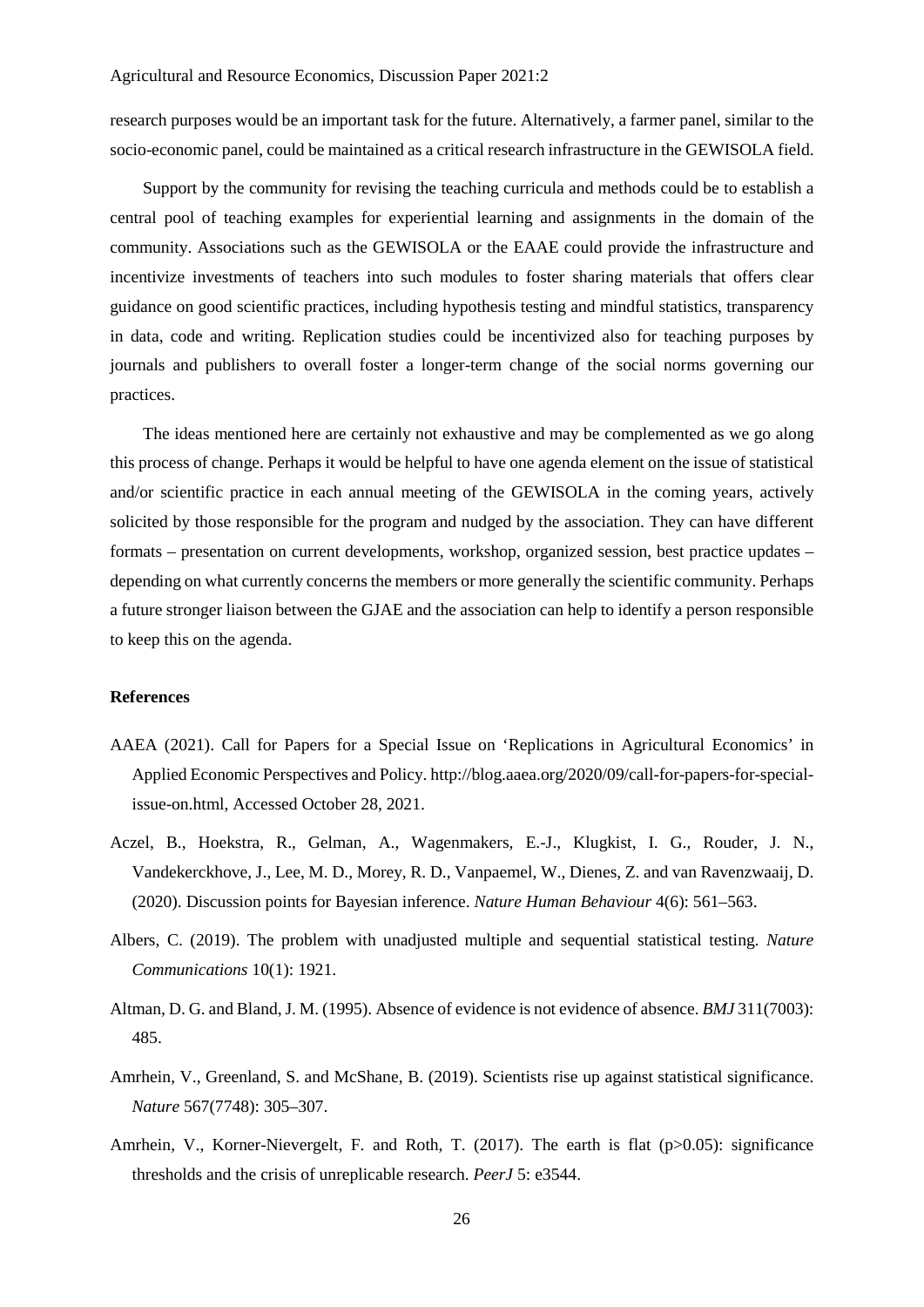research purposes would be an important task for the future. Alternatively, a farmer panel, similar to the socio-economic panel, could be maintained as a critical research infrastructure in the GEWISOLA field.

Support by the community for revising the teaching curricula and methods could be to establish a central pool of teaching examples for experiential learning and assignments in the domain of the community. Associations such as the GEWISOLA or the EAAE could provide the infrastructure and incentivize investments of teachers into such modules to foster sharing materials that offers clear guidance on good scientific practices, including hypothesis testing and mindful statistics, transparency in data, code and writing. Replication studies could be incentivized also for teaching purposes by journals and publishers to overall foster a longer-term change of the social norms governing our practices.

The ideas mentioned here are certainly not exhaustive and may be complemented as we go along this process of change. Perhaps it would be helpful to have one agenda element on the issue of statistical and/or scientific practice in each annual meeting of the GEWISOLA in the coming years, actively solicited by those responsible for the program and nudged by the association. They can have different formats – presentation on current developments, workshop, organized session, best practice updates – depending on what currently concerns the members or more generally the scientific community. Perhaps a future stronger liaison between the GJAE and the association can help to identify a person responsible to keep this on the agenda.

#### **References**

- AAEA (2021). Call for Papers for a Special Issue on 'Replications in Agricultural Economics' in Applied Economic Perspectives and Policy. http://blog.aaea.org/2020/09/call-for-papers-for-specialissue-on.html, Accessed October 28, 2021.
- Aczel, B., Hoekstra, R., Gelman, A., Wagenmakers, E.-J., Klugkist, I. G., Rouder, J. N., Vandekerckhove, J., Lee, M. D., Morey, R. D., Vanpaemel, W., Dienes, Z. and van Ravenzwaaij, D. (2020). Discussion points for Bayesian inference. *Nature Human Behaviour* 4(6): 561–563.
- Albers, C. (2019). The problem with unadjusted multiple and sequential statistical testing. *Nature Communications* 10(1): 1921.
- Altman, D. G. and Bland, J. M. (1995). Absence of evidence is not evidence of absence. *BMJ* 311(7003): 485.
- Amrhein, V., Greenland, S. and McShane, B. (2019). Scientists rise up against statistical significance. *Nature* 567(7748): 305–307.
- Amrhein, V., Korner-Nievergelt, F. and Roth, T. (2017). The earth is flat (p>0.05): significance thresholds and the crisis of unreplicable research. *PeerJ* 5: e3544.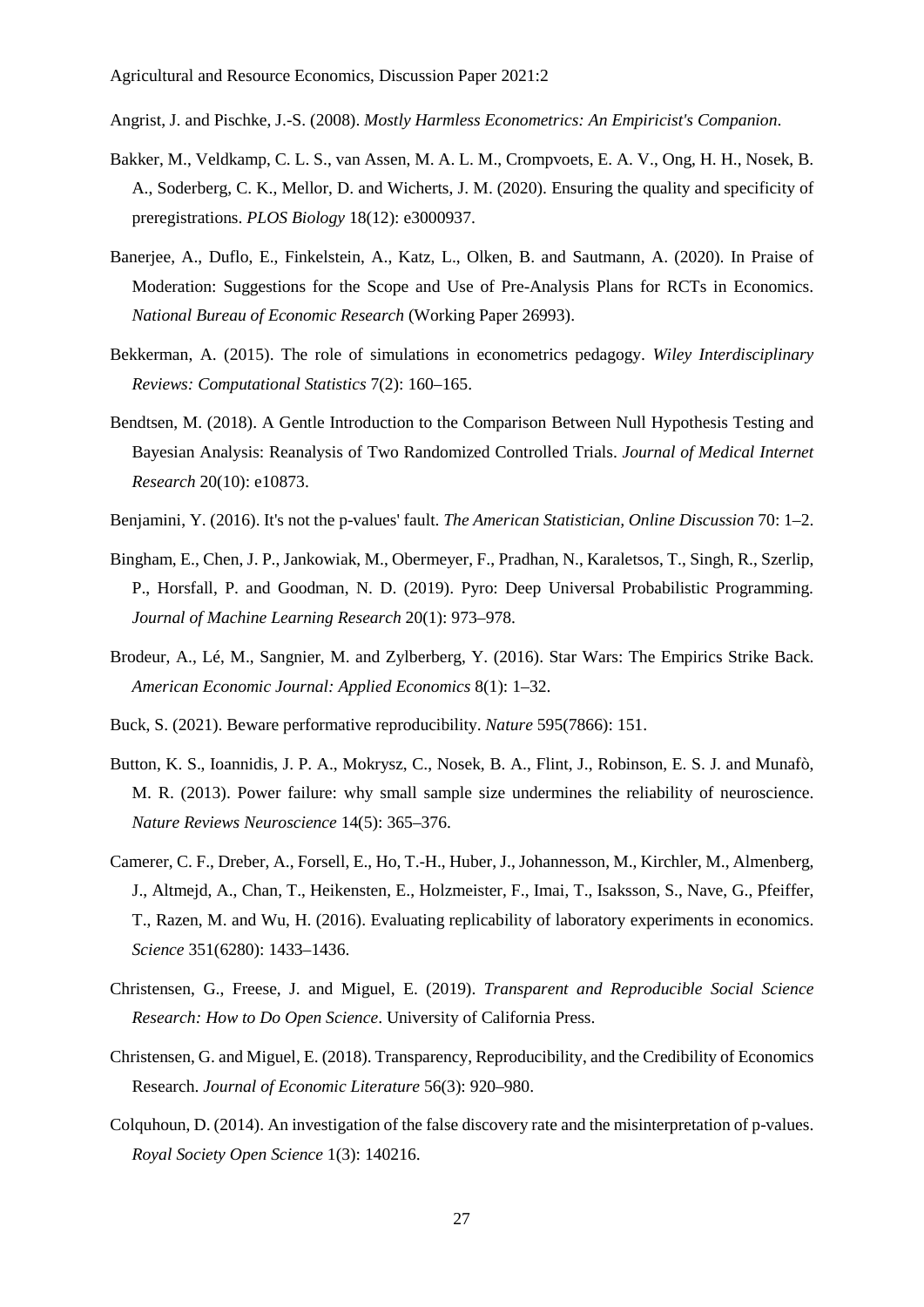Angrist, J. and Pischke, J.-S. (2008). *Mostly Harmless Econometrics: An Empiricist's Companion*.

- Bakker, M., Veldkamp, C. L. S., van Assen, M. A. L. M., Crompvoets, E. A. V., Ong, H. H., Nosek, B. A., Soderberg, C. K., Mellor, D. and Wicherts, J. M. (2020). Ensuring the quality and specificity of preregistrations. *PLOS Biology* 18(12): e3000937.
- Banerjee, A., Duflo, E., Finkelstein, A., Katz, L., Olken, B. and Sautmann, A. (2020). In Praise of Moderation: Suggestions for the Scope and Use of Pre-Analysis Plans for RCTs in Economics. *National Bureau of Economic Research* (Working Paper 26993).
- Bekkerman, A. (2015). The role of simulations in econometrics pedagogy. *Wiley Interdisciplinary Reviews: Computational Statistics* 7(2): 160–165.
- Bendtsen, M. (2018). A Gentle Introduction to the Comparison Between Null Hypothesis Testing and Bayesian Analysis: Reanalysis of Two Randomized Controlled Trials. *Journal of Medical Internet Research* 20(10): e10873.
- Benjamini, Y. (2016). It's not the p-values' fault. *The American Statistician, Online Discussion* 70: 1–2.
- Bingham, E., Chen, J. P., Jankowiak, M., Obermeyer, F., Pradhan, N., Karaletsos, T., Singh, R., Szerlip, P., Horsfall, P. and Goodman, N. D. (2019). Pyro: Deep Universal Probabilistic Programming. *Journal of Machine Learning Research* 20(1): 973–978.
- Brodeur, A., Lé, M., Sangnier, M. and Zylberberg, Y. (2016). Star Wars: The Empirics Strike Back. *American Economic Journal: Applied Economics* 8(1): 1–32.
- Buck, S. (2021). Beware performative reproducibility. *Nature* 595(7866): 151.
- Button, K. S., Ioannidis, J. P. A., Mokrysz, C., Nosek, B. A., Flint, J., Robinson, E. S. J. and Munafò, M. R. (2013). Power failure: why small sample size undermines the reliability of neuroscience. *Nature Reviews Neuroscience* 14(5): 365–376.
- Camerer, C. F., Dreber, A., Forsell, E., Ho, T.-H., Huber, J., Johannesson, M., Kirchler, M., Almenberg, J., Altmejd, A., Chan, T., Heikensten, E., Holzmeister, F., Imai, T., Isaksson, S., Nave, G., Pfeiffer, T., Razen, M. and Wu, H. (2016). Evaluating replicability of laboratory experiments in economics. *Science* 351(6280): 1433–1436.
- Christensen, G., Freese, J. and Miguel, E. (2019). *Transparent and Reproducible Social Science Research: How to Do Open Science*. University of California Press.
- Christensen, G. and Miguel, E. (2018). Transparency, Reproducibility, and the Credibility of Economics Research. *Journal of Economic Literature* 56(3): 920–980.
- Colquhoun, D. (2014). An investigation of the false discovery rate and the misinterpretation of p-values. *Royal Society Open Science* 1(3): 140216.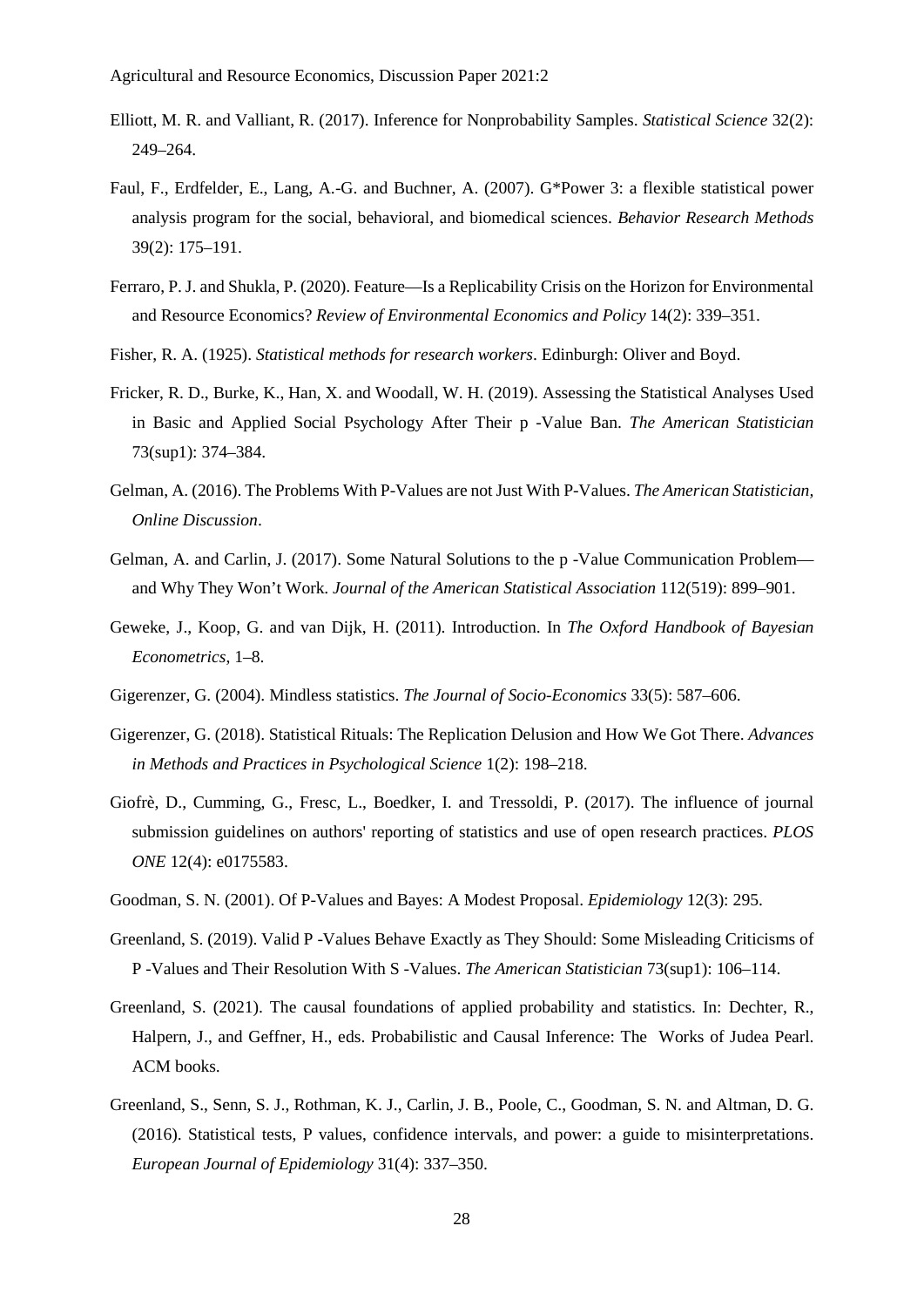- Elliott, M. R. and Valliant, R. (2017). Inference for Nonprobability Samples. *Statistical Science* 32(2): 249–264.
- Faul, F., Erdfelder, E., Lang, A.-G. and Buchner, A. (2007). G\*Power 3: a flexible statistical power analysis program for the social, behavioral, and biomedical sciences. *Behavior Research Methods* 39(2): 175–191.
- Ferraro, P. J. and Shukla, P. (2020). Feature—Is a Replicability Crisis on the Horizon for Environmental and Resource Economics? *Review of Environmental Economics and Policy* 14(2): 339–351.
- Fisher, R. A. (1925). *Statistical methods for research workers*. Edinburgh: Oliver and Boyd.
- Fricker, R. D., Burke, K., Han, X. and Woodall, W. H. (2019). Assessing the Statistical Analyses Used in Basic and Applied Social Psychology After Their p -Value Ban. *The American Statistician* 73(sup1): 374–384.
- Gelman, A. (2016). The Problems With P-Values are not Just With P-Values. *The American Statistician, Online Discussion*.
- Gelman, A. and Carlin, J. (2017). Some Natural Solutions to the p -Value Communication Problem and Why They Won't Work. *Journal of the American Statistical Association* 112(519): 899–901.
- Geweke, J., Koop, G. and van Dijk, H. (2011). Introduction. In *The Oxford Handbook of Bayesian Econometrics*, 1–8.
- Gigerenzer, G. (2004). Mindless statistics. *The Journal of Socio-Economics* 33(5): 587–606.
- Gigerenzer, G. (2018). Statistical Rituals: The Replication Delusion and How We Got There. *Advances in Methods and Practices in Psychological Science* 1(2): 198–218.
- Giofrè, D., Cumming, G., Fresc, L., Boedker, I. and Tressoldi, P. (2017). The influence of journal submission guidelines on authors' reporting of statistics and use of open research practices. *PLOS ONE* 12(4): e0175583.
- Goodman, S. N. (2001). Of P-Values and Bayes: A Modest Proposal. *Epidemiology* 12(3): 295.
- Greenland, S. (2019). Valid P -Values Behave Exactly as They Should: Some Misleading Criticisms of P -Values and Their Resolution With S -Values. *The American Statistician* 73(sup1): 106–114.
- Greenland, S. (2021). The causal foundations of applied probability and statistics. In: Dechter, R., Halpern, J., and Geffner, H., eds. Probabilistic and Causal Inference: The Works of Judea Pearl. ACM books.
- Greenland, S., Senn, S. J., Rothman, K. J., Carlin, J. B., Poole, C., Goodman, S. N. and Altman, D. G. (2016). Statistical tests, P values, confidence intervals, and power: a guide to misinterpretations. *European Journal of Epidemiology* 31(4): 337–350.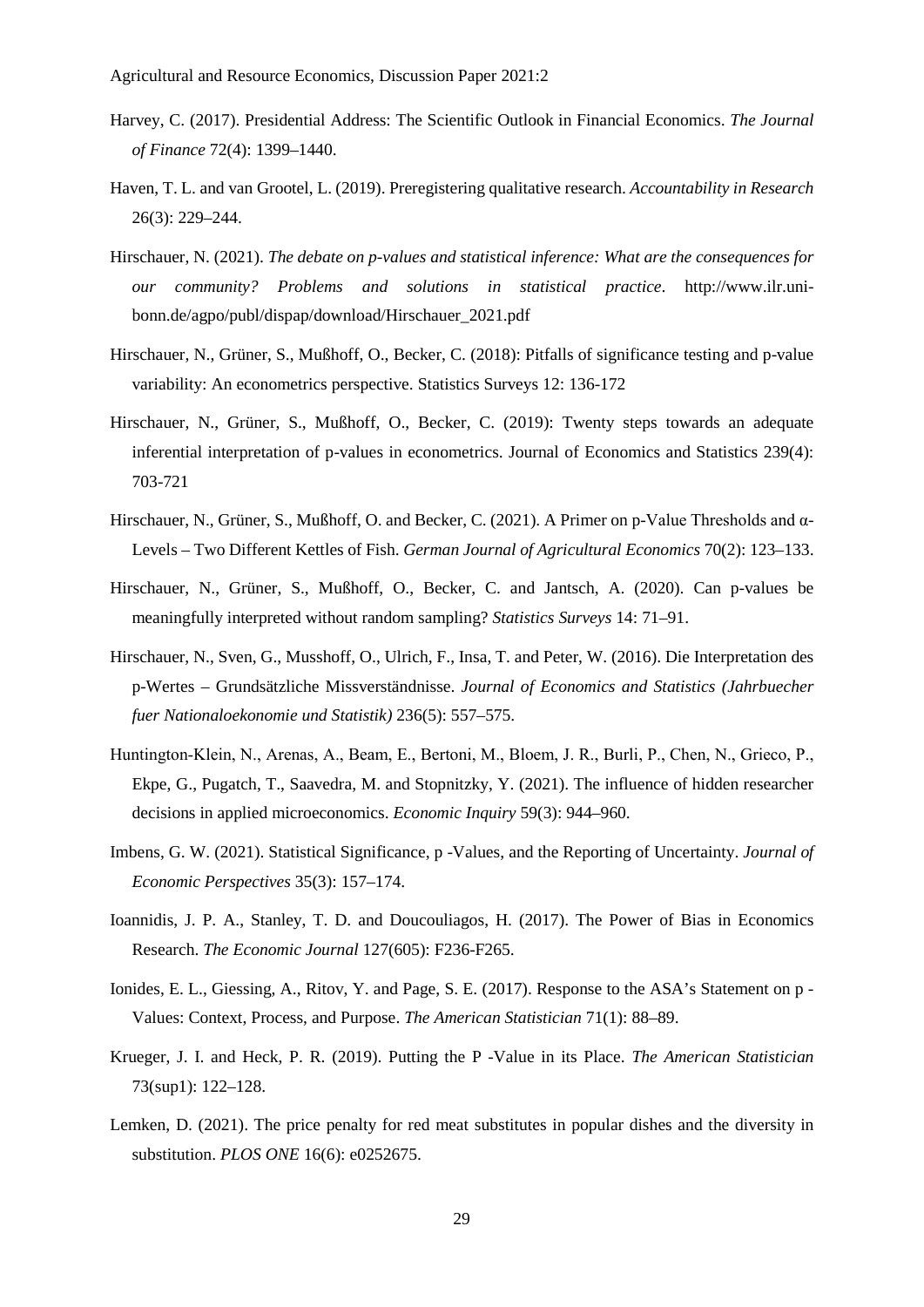- Harvey, C. (2017). Presidential Address: The Scientific Outlook in Financial Economics. *The Journal of Finance* 72(4): 1399–1440.
- Haven, T. L. and van Grootel, L. (2019). Preregistering qualitative research. *Accountability in Research* 26(3): 229–244.
- Hirschauer, N. (2021). *The debate on p-values and statistical inference: What are the consequences for our community? Problems and solutions in statistical practice*. http://www.ilr.unibonn.de/agpo/publ/dispap/download/Hirschauer\_2021.pdf
- Hirschauer, N., Grüner, S., Mußhoff, O., Becker, C. (2018): Pitfalls of significance testing and p-value variability: An econometrics perspective. Statistics Surveys 12: 136-172
- Hirschauer, N., Grüner, S., Mußhoff, O., Becker, C. (2019): Twenty steps towards an adequate inferential interpretation of p-values in econometrics. Journal of Economics and Statistics 239(4): 703-721
- Hirschauer, N., Grüner, S., Mußhoff, O. and Becker, C. (2021). A Primer on p-Value Thresholds and α-Levels – Two Different Kettles of Fish. *German Journal of Agricultural Economics* 70(2): 123–133.
- Hirschauer, N., Grüner, S., Mußhoff, O., Becker, C. and Jantsch, A. (2020). Can p-values be meaningfully interpreted without random sampling? *Statistics Surveys* 14: 71–91.
- Hirschauer, N., Sven, G., Musshoff, O., Ulrich, F., Insa, T. and Peter, W. (2016). Die Interpretation des p-Wertes – Grundsätzliche Missverständnisse. *Journal of Economics and Statistics (Jahrbuecher fuer Nationaloekonomie und Statistik)* 236(5): 557–575.
- Huntington‐Klein, N., Arenas, A., Beam, E., Bertoni, M., Bloem, J. R., Burli, P., Chen, N., Grieco, P., Ekpe, G., Pugatch, T., Saavedra, M. and Stopnitzky, Y. (2021). The influence of hidden researcher decisions in applied microeconomics. *Economic Inquiry* 59(3): 944–960.
- Imbens, G. W. (2021). Statistical Significance, p -Values, and the Reporting of Uncertainty. *Journal of Economic Perspectives* 35(3): 157–174.
- Ioannidis, J. P. A., Stanley, T. D. and Doucouliagos, H. (2017). The Power of Bias in Economics Research. *The Economic Journal* 127(605): F236-F265.
- Ionides, E. L., Giessing, A., Ritov, Y. and Page, S. E. (2017). Response to the ASA's Statement on p Values: Context, Process, and Purpose. *The American Statistician* 71(1): 88–89.
- Krueger, J. I. and Heck, P. R. (2019). Putting the P -Value in its Place. *The American Statistician* 73(sup1): 122–128.
- Lemken, D. (2021). The price penalty for red meat substitutes in popular dishes and the diversity in substitution. *PLOS ONE* 16(6): e0252675.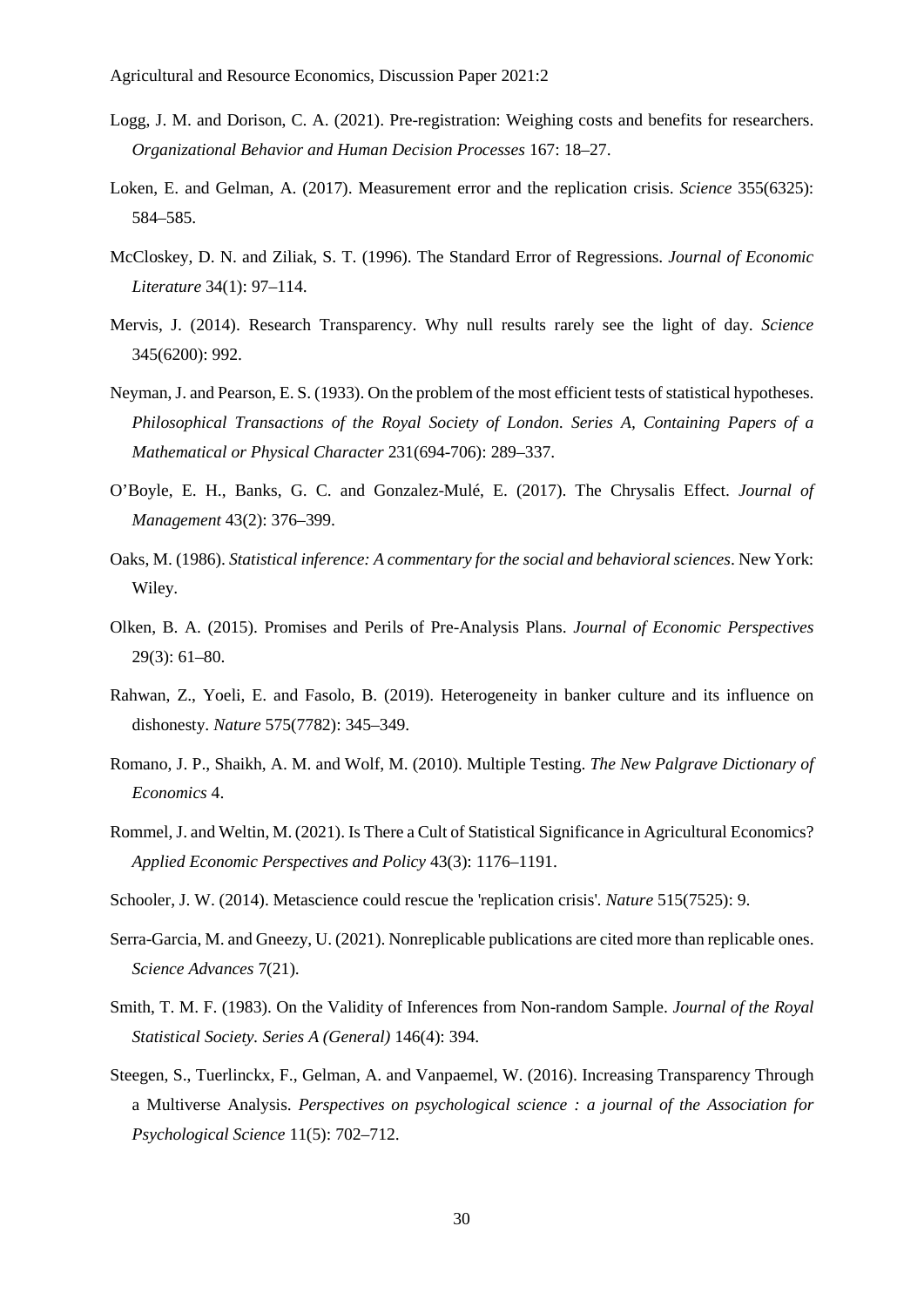- Logg, J. M. and Dorison, C. A. (2021). Pre-registration: Weighing costs and benefits for researchers. *Organizational Behavior and Human Decision Processes* 167: 18–27.
- Loken, E. and Gelman, A. (2017). Measurement error and the replication crisis. *Science* 355(6325): 584–585.
- McCloskey, D. N. and Ziliak, S. T. (1996). The Standard Error of Regressions. *Journal of Economic Literature* 34(1): 97–114.
- Mervis, J. (2014). Research Transparency. Why null results rarely see the light of day. *Science* 345(6200): 992.
- Neyman, J. and Pearson, E. S. (1933). On the problem of the most efficient tests of statistical hypotheses. *Philosophical Transactions of the Royal Society of London. Series A, Containing Papers of a Mathematical or Physical Character* 231(694-706): 289–337.
- O'Boyle, E. H., Banks, G. C. and Gonzalez-Mulé, E. (2017). The Chrysalis Effect. *Journal of Management* 43(2): 376–399.
- Oaks, M. (1986). *Statistical inference: A commentary for the social and behavioral sciences*. New York: Wiley.
- Olken, B. A. (2015). Promises and Perils of Pre-Analysis Plans. *Journal of Economic Perspectives* 29(3): 61–80.
- Rahwan, Z., Yoeli, E. and Fasolo, B. (2019). Heterogeneity in banker culture and its influence on dishonesty. *Nature* 575(7782): 345–349.
- Romano, J. P., Shaikh, A. M. and Wolf, M. (2010). Multiple Testing. *The New Palgrave Dictionary of Economics* 4.
- Rommel, J. and Weltin, M. (2021). Is There a Cult of Statistical Significance in Agricultural Economics? *Applied Economic Perspectives and Policy* 43(3): 1176–1191.
- Schooler, J. W. (2014). Metascience could rescue the 'replication crisis'. *Nature* 515(7525): 9.
- Serra-Garcia, M. and Gneezy, U. (2021). Nonreplicable publications are cited more than replicable ones. *Science Advances* 7(21).
- Smith, T. M. F. (1983). On the Validity of Inferences from Non-random Sample. *Journal of the Royal Statistical Society. Series A (General)* 146(4): 394.
- Steegen, S., Tuerlinckx, F., Gelman, A. and Vanpaemel, W. (2016). Increasing Transparency Through a Multiverse Analysis. *Perspectives on psychological science : a journal of the Association for Psychological Science* 11(5): 702–712.